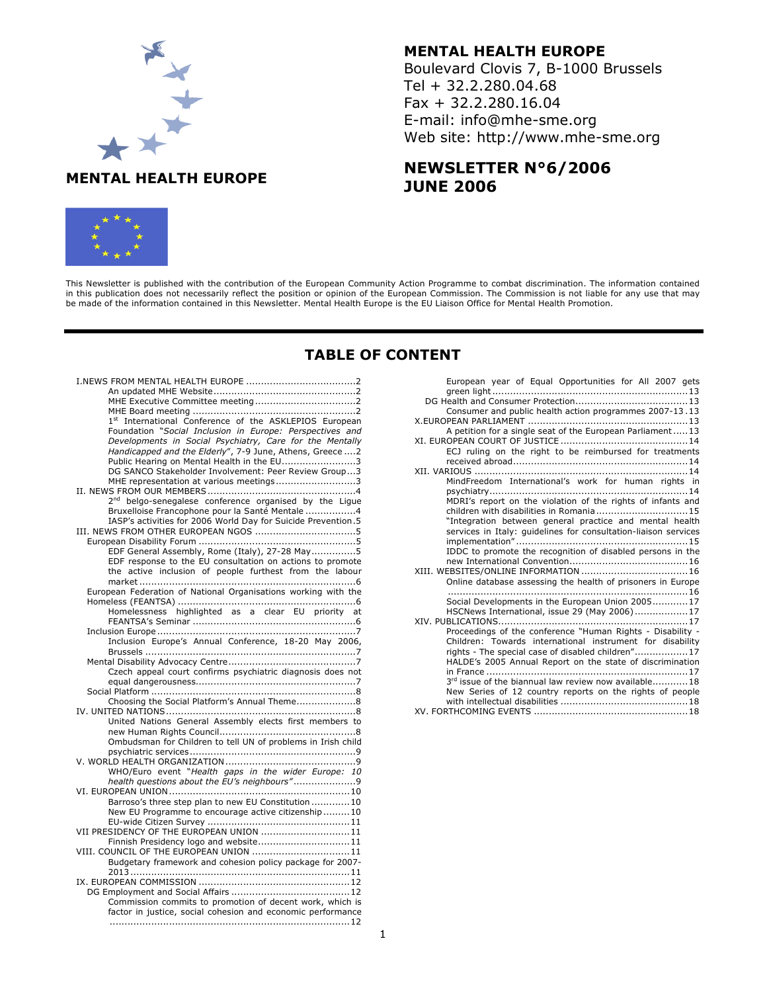# MENTAL HEALTH EUROPE

## MENTAL HEALTH EUROPE

Boulevard Clovis 7, B-1000 Brussels Tel + 32.2.280.04.68 Fax + 32.2.280.16.04 E-mail: info@mhe-sme.org Web site: http://www.mhe-sme.org

# NEWSLETTER N°6/2006 JUNE 2006



This Newsletter is published with the contribution of the European Community Action Programme to combat discrimination. The information contained in this publication does not necessarily reflect the position or opinion of the European Commission. The Commission is not liable for any use that may be made of the information contained in this Newsletter. Mental Health Europe is the EU Liaison Office for Mental Health Promotion.

## TABLE OF CONTENT

| 1st International Conference of the ASKLEPIOS European                                                                  |
|-------------------------------------------------------------------------------------------------------------------------|
| Foundation "Social Inclusion in Europe: Perspectives and                                                                |
| Developments in Social Psychiatry, Care for the Mentally                                                                |
| Handicapped and the Elderly", 7-9 June, Athens, Greece  2                                                               |
| Public Hearing on Mental Health in the EU3                                                                              |
| DG SANCO Stakeholder Involvement: Peer Review Group3                                                                    |
| MHE representation at various meetings3                                                                                 |
| 2 <sup>nd</sup> belgo-senegalese conference organised by the Ligue                                                      |
| Bruxelloise Francophone pour la Santé Mentale 4                                                                         |
| IASP's activities for 2006 World Day for Suicide Prevention.5                                                           |
|                                                                                                                         |
|                                                                                                                         |
| EDF General Assembly, Rome (Italy), 27-28 May5                                                                          |
| EDF response to the EU consultation on actions to promote                                                               |
| the active inclusion of people furthest from the labour                                                                 |
|                                                                                                                         |
| European Federation of National Organisations working with the                                                          |
|                                                                                                                         |
| Homelessness highlighted as a clear EU priority at                                                                      |
|                                                                                                                         |
|                                                                                                                         |
| Inclusion Europe's Annual Conference, 18-20 May 2006,                                                                   |
|                                                                                                                         |
| Czech appeal court confirms psychiatric diagnosis does not                                                              |
|                                                                                                                         |
|                                                                                                                         |
| Choosing the Social Platform's Annual Theme8                                                                            |
|                                                                                                                         |
| United Nations General Assembly elects first members to                                                                 |
|                                                                                                                         |
|                                                                                                                         |
|                                                                                                                         |
| Ombudsman for Children to tell UN of problems in Irish child                                                            |
|                                                                                                                         |
| WHO/Euro event "Health gaps in the wider Europe: 10                                                                     |
| health questions about the EU's neighbours"9                                                                            |
|                                                                                                                         |
| Barroso's three step plan to new EU Constitution 10                                                                     |
| New EU Programme to encourage active citizenship 10                                                                     |
|                                                                                                                         |
| VII PRESIDENCY OF THE EUROPEAN UNION 11                                                                                 |
| Finnish Presidency logo and website11                                                                                   |
| VIII. COUNCIL OF THE EUROPEAN UNION 11                                                                                  |
| Budgetary framework and cohesion policy package for 2007-                                                               |
|                                                                                                                         |
|                                                                                                                         |
|                                                                                                                         |
| Commission commits to promotion of decent work, which is<br>factor in justice, social cohesion and economic performance |

| European year of Equal Opportunities for All 2007 gets          |
|-----------------------------------------------------------------|
|                                                                 |
|                                                                 |
| Consumer and public health action programmes 2007-13.13         |
|                                                                 |
| A petition for a single seat of the European Parliament13       |
|                                                                 |
| ECJ ruling on the right to be reimbursed for treatments         |
|                                                                 |
|                                                                 |
| MindFreedom International's work for human rights in            |
|                                                                 |
| MDRI's report on the violation of the rights of infants and     |
| children with disabilities in Romania15                         |
| "Integration between general practice and mental health         |
| services in Italy: guidelines for consultation-liaison services |
|                                                                 |
| IDDC to promote the recognition of disabled persons in the      |
|                                                                 |
|                                                                 |
| Online database assessing the health of prisoners in Europe     |
|                                                                 |
| Social Developments in the European Union 200517                |
| HSCNews International, issue 29 (May 2006)17                    |
|                                                                 |
| Proceedings of the conference "Human Rights - Disability -      |
| Children: Towards international instrument for disability       |
| rights - The special case of disabled children"17               |
| HALDE's 2005 Annual Report on the state of discrimination       |
|                                                                 |
| 3rd issue of the biannual law review now available18            |
| New Series of 12 country reports on the rights of people        |
|                                                                 |
|                                                                 |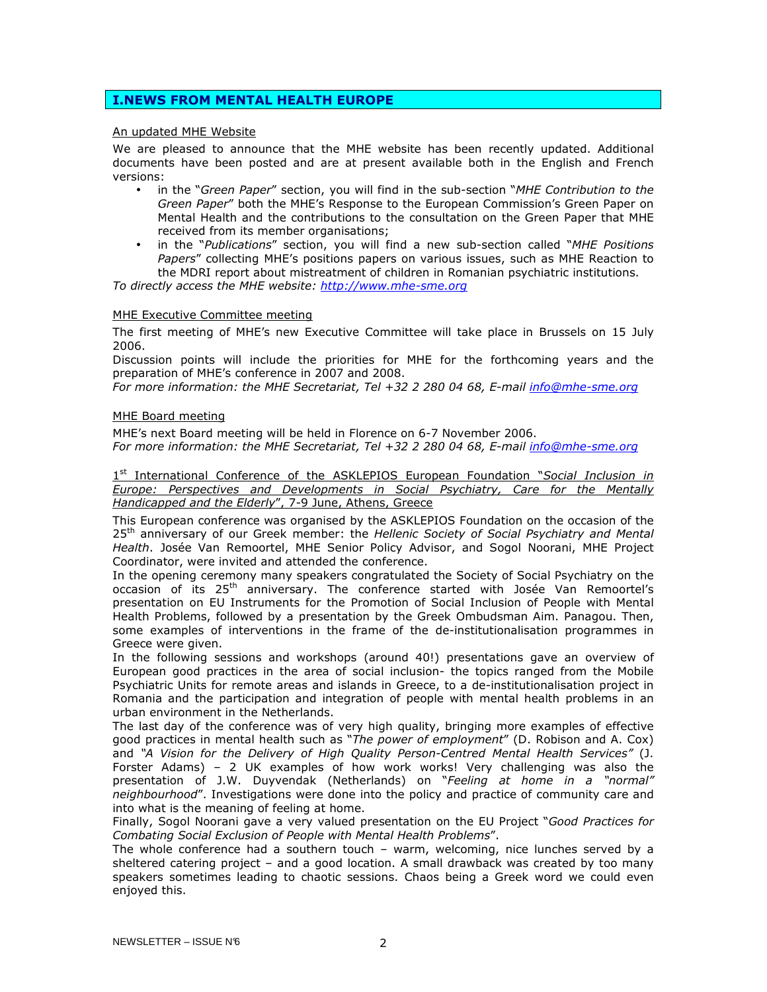## I.NEWS FROM MENTAL HEALTH EUROPE

## An updated MHE Website

We are pleased to announce that the MHE website has been recently updated. Additional documents have been posted and are at present available both in the English and French versions:

- in the "Green Paper" section, you will find in the sub-section "MHE Contribution to the Green Paper" both the MHE's Response to the European Commission's Green Paper on Mental Health and the contributions to the consultation on the Green Paper that MHE received from its member organisations;
- in the "Publications" section, you will find a new sub-section called "MHE Positions Papers" collecting MHE's positions papers on various issues, such as MHE Reaction to the MDRI report about mistreatment of children in Romanian psychiatric institutions.

To directly access the MHE website: http://www.mhe-sme.org

## MHE Executive Committee meeting

The first meeting of MHE's new Executive Committee will take place in Brussels on 15 July 2006.

Discussion points will include the priorities for MHE for the forthcoming years and the preparation of MHE's conference in 2007 and 2008.

For more information: the MHE Secretariat, Tel +32 2 280 04 68, E-mail info@mhe-sme.org

## MHE Board meeting

MHE's next Board meeting will be held in Florence on 6-7 November 2006.

For more information: the MHE Secretariat, Tel +32 2 280 04 68, E-mail info@mhe-sme.org

1<sup>st</sup> International Conference of the ASKLEPIOS European Foundation "Social Inclusion in Europe: Perspectives and Developments in Social Psychiatry, Care for the Mentally Handicapped and the Elderly", 7-9 June, Athens, Greece

This European conference was organised by the ASKLEPIOS Foundation on the occasion of the 25<sup>th</sup> anniversary of our Greek member: the Hellenic Society of Social Psychiatry and Mental Health. Josée Van Remoortel, MHE Senior Policy Advisor, and Sogol Noorani, MHE Project Coordinator, were invited and attended the conference.

In the opening ceremony many speakers congratulated the Society of Social Psychiatry on the occasion of its 25<sup>th</sup> anniversary. The conference started with Josée Van Remoortel's presentation on EU Instruments for the Promotion of Social Inclusion of People with Mental Health Problems, followed by a presentation by the Greek Ombudsman Aim. Panagou. Then, some examples of interventions in the frame of the de-institutionalisation programmes in Greece were given.

In the following sessions and workshops (around 40!) presentations gave an overview of European good practices in the area of social inclusion- the topics ranged from the Mobile Psychiatric Units for remote areas and islands in Greece, to a de-institutionalisation project in Romania and the participation and integration of people with mental health problems in an urban environment in the Netherlands.

The last day of the conference was of very high quality, bringing more examples of effective good practices in mental health such as "The power of employment" (D. Robison and A. Cox) and "A Vision for the Delivery of High Quality Person-Centred Mental Health Services" (J. Forster Adams) – 2 UK examples of how work works! Very challenging was also the presentation of J.W. Duyvendak (Netherlands) on "Feeling at home in a "normal" neighbourhood". Investigations were done into the policy and practice of community care and into what is the meaning of feeling at home.

Finally, Sogol Noorani gave a very valued presentation on the EU Project "Good Practices for Combating Social Exclusion of People with Mental Health Problems".

The whole conference had a southern touch – warm, welcoming, nice lunches served by a sheltered catering project – and a good location. A small drawback was created by too many speakers sometimes leading to chaotic sessions. Chaos being a Greek word we could even enjoyed this.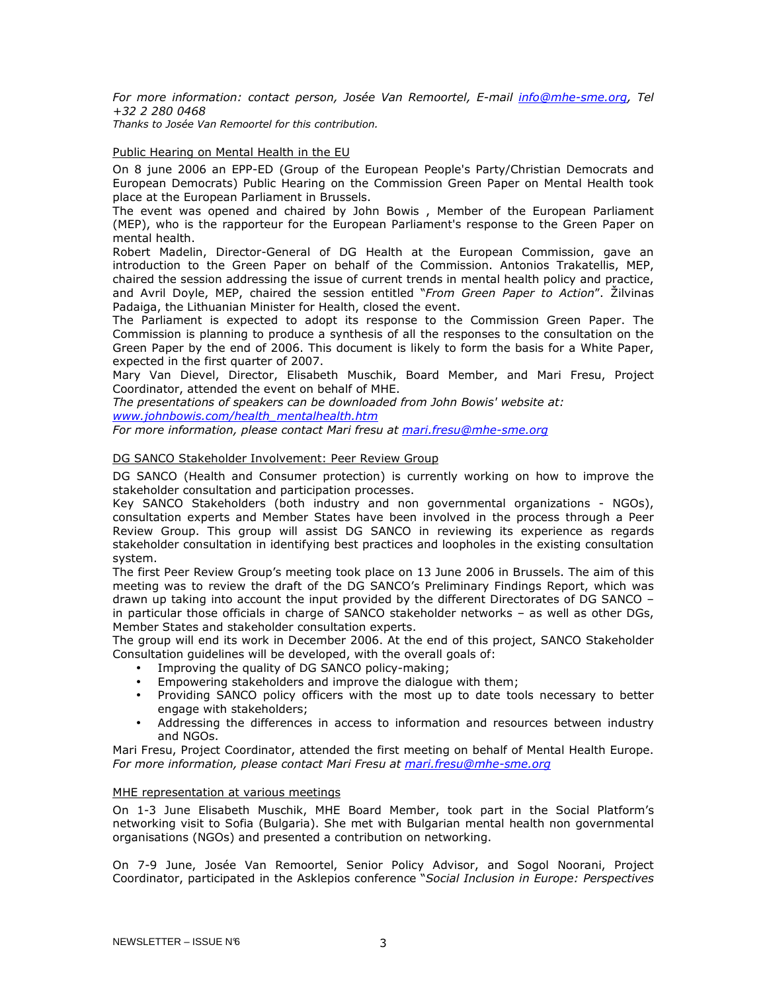For more information: contact person, Josée Van Remoortel, E-mail info@mhe-sme.org, Tel +32 2 280 0468 Thanks to Josée Van Remoortel for this contribution.

## Public Hearing on Mental Health in the EU

On 8 june 2006 an EPP-ED (Group of the European People's Party/Christian Democrats and European Democrats) Public Hearing on the Commission Green Paper on Mental Health took place at the European Parliament in Brussels.

The event was opened and chaired by John Bowis , Member of the European Parliament (MEP), who is the rapporteur for the European Parliament's response to the Green Paper on mental health.

Robert Madelin, Director-General of DG Health at the European Commission, gave an introduction to the Green Paper on behalf of the Commission. Antonios Trakatellis, MEP, chaired the session addressing the issue of current trends in mental health policy and practice, and Avril Doyle, MEP, chaired the session entitled "From Green Paper to Action". Žilvinas Padaiga, the Lithuanian Minister for Health, closed the event.

The Parliament is expected to adopt its response to the Commission Green Paper. The Commission is planning to produce a synthesis of all the responses to the consultation on the Green Paper by the end of 2006. This document is likely to form the basis for a White Paper, expected in the first quarter of 2007.

Mary Van Dievel, Director, Elisabeth Muschik, Board Member, and Mari Fresu, Project Coordinator, attended the event on behalf of MHE.

The presentations of speakers can be downloaded from John Bowis' website at: www.johnbowis.com/health\_mentalhealth.htm

For more information, please contact Mari fresu at mari.fresu@mhe-sme.org

## DG SANCO Stakeholder Involvement: Peer Review Group

DG SANCO (Health and Consumer protection) is currently working on how to improve the stakeholder consultation and participation processes.

Key SANCO Stakeholders (both industry and non governmental organizations - NGOs), consultation experts and Member States have been involved in the process through a Peer Review Group. This group will assist DG SANCO in reviewing its experience as regards stakeholder consultation in identifying best practices and loopholes in the existing consultation system.

The first Peer Review Group's meeting took place on 13 June 2006 in Brussels. The aim of this meeting was to review the draft of the DG SANCO's Preliminary Findings Report, which was drawn up taking into account the input provided by the different Directorates of DG SANCO – in particular those officials in charge of SANCO stakeholder networks – as well as other DGs, Member States and stakeholder consultation experts.

The group will end its work in December 2006. At the end of this project, SANCO Stakeholder Consultation guidelines will be developed, with the overall goals of:

- Improving the quality of DG SANCO policy-making;
- Empowering stakeholders and improve the dialogue with them;
- Providing SANCO policy officers with the most up to date tools necessary to better engage with stakeholders;
- Addressing the differences in access to information and resources between industry and NGOs.

Mari Fresu, Project Coordinator, attended the first meeting on behalf of Mental Health Europe. For more information, please contact Mari Fresu at mari.fresu@mhe-sme.org

#### MHE representation at various meetings

On 1-3 June Elisabeth Muschik, MHE Board Member, took part in the Social Platform's networking visit to Sofia (Bulgaria). She met with Bulgarian mental health non governmental organisations (NGOs) and presented a contribution on networking.

On 7-9 June, Josée Van Remoortel, Senior Policy Advisor, and Sogol Noorani, Project Coordinator, participated in the Asklepios conference "Social Inclusion in Europe: Perspectives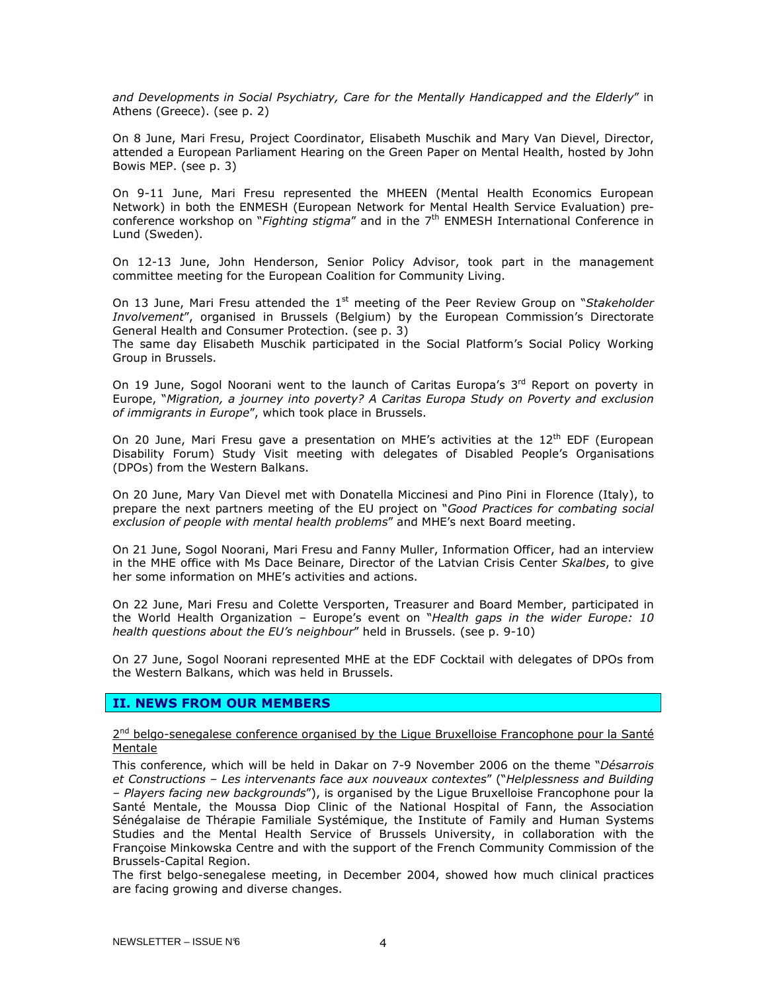and Developments in Social Psychiatry, Care for the Mentally Handicapped and the Elderly" in Athens (Greece). (see p. 2)

On 8 June, Mari Fresu, Project Coordinator, Elisabeth Muschik and Mary Van Dievel, Director, attended a European Parliament Hearing on the Green Paper on Mental Health, hosted by John Bowis MEP. (see p. 3)

On 9-11 June, Mari Fresu represented the MHEEN (Mental Health Economics European Network) in both the ENMESH (European Network for Mental Health Service Evaluation) preconference workshop on "Fighting stigma" and in the  $7<sup>th</sup>$  ENMESH International Conference in Lund (Sweden).

On 12-13 June, John Henderson, Senior Policy Advisor, took part in the management committee meeting for the European Coalition for Community Living.

On 13 June, Mari Fresu attended the  $1<sup>st</sup>$  meeting of the Peer Review Group on "Stakeholder Involvement", organised in Brussels (Belgium) by the European Commission's Directorate General Health and Consumer Protection. (see p. 3)

The same day Elisabeth Muschik participated in the Social Platform's Social Policy Working Group in Brussels.

On 19 June, Sogol Noorani went to the launch of Caritas Europa's 3<sup>rd</sup> Report on poverty in Europe, "Migration, a journey into poverty? A Caritas Europa Study on Poverty and exclusion of immigrants in Europe", which took place in Brussels.

On 20 June, Mari Fresu gave a presentation on MHE's activities at the  $12<sup>th</sup>$  EDF (European Disability Forum) Study Visit meeting with delegates of Disabled People's Organisations (DPOs) from the Western Balkans.

On 20 June, Mary Van Dievel met with Donatella Miccinesi and Pino Pini in Florence (Italy), to prepare the next partners meeting of the EU project on "Good Practices for combating social exclusion of people with mental health problems" and MHE's next Board meeting.

On 21 June, Sogol Noorani, Mari Fresu and Fanny Muller, Information Officer, had an interview in the MHE office with Ms Dace Beinare, Director of the Latvian Crisis Center Skalbes, to give her some information on MHE's activities and actions.

On 22 June, Mari Fresu and Colette Versporten, Treasurer and Board Member, participated in the World Health Organization – Europe's event on "Health gaps in the wider Europe: 10 health questions about the EU's neighbour" held in Brussels. (see p. 9-10)

On 27 June, Sogol Noorani represented MHE at the EDF Cocktail with delegates of DPOs from the Western Balkans, which was held in Brussels.

## II. NEWS FROM OUR MEMBERS

2<sup>nd</sup> belgo-senegalese conference organised by the Ligue Bruxelloise Francophone pour la Santé Mentale

This conference, which will be held in Dakar on 7-9 November 2006 on the theme "Désarrois et Constructions – Les intervenants face aux nouveaux contextes" ("Helplessness and Building – Players facing new backgrounds"), is organised by the Ligue Bruxelloise Francophone pour la Santé Mentale, the Moussa Diop Clinic of the National Hospital of Fann, the Association Sénégalaise de Thérapie Familiale Systémique, the Institute of Family and Human Systems Studies and the Mental Health Service of Brussels University, in collaboration with the Françoise Minkowska Centre and with the support of the French Community Commission of the Brussels-Capital Region.

The first belgo-senegalese meeting, in December 2004, showed how much clinical practices are facing growing and diverse changes.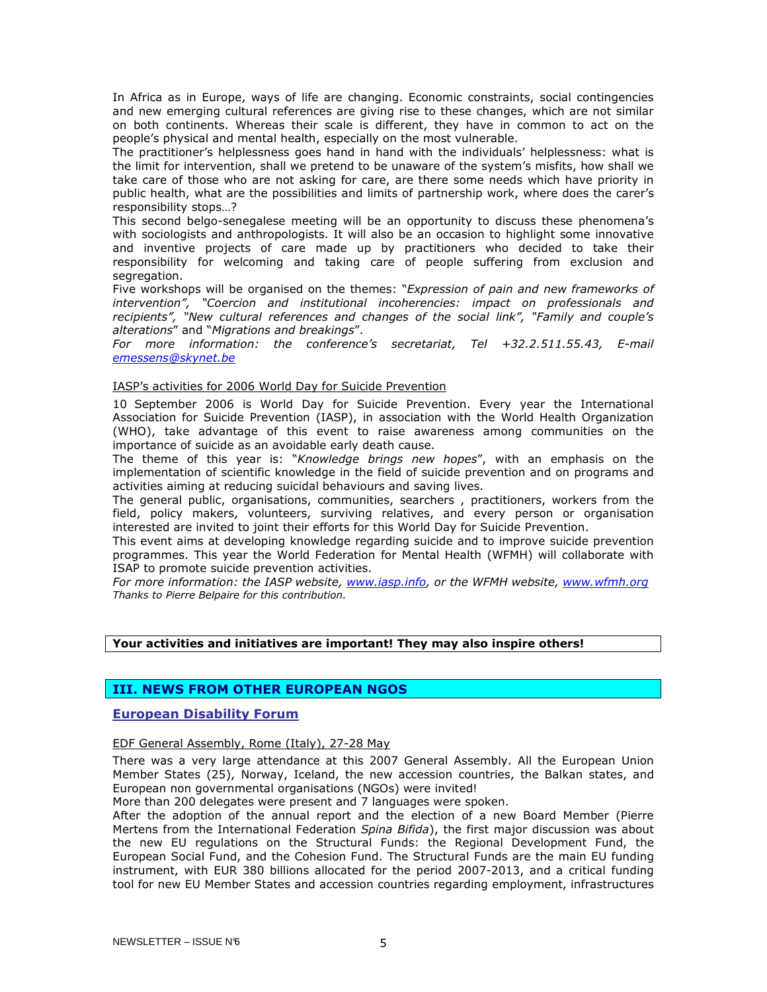In Africa as in Europe, ways of life are changing. Economic constraints, social contingencies and new emerging cultural references are giving rise to these changes, which are not similar on both continents. Whereas their scale is different, they have in common to act on the people's physical and mental health, especially on the most vulnerable.

The practitioner's helplessness goes hand in hand with the individuals' helplessness: what is the limit for intervention, shall we pretend to be unaware of the system's misfits, how shall we take care of those who are not asking for care, are there some needs which have priority in public health, what are the possibilities and limits of partnership work, where does the carer's responsibility stops…?

This second belgo-senegalese meeting will be an opportunity to discuss these phenomena's with sociologists and anthropologists. It will also be an occasion to highlight some innovative and inventive projects of care made up by practitioners who decided to take their responsibility for welcoming and taking care of people suffering from exclusion and segregation.

Five workshops will be organised on the themes: "Expression of pain and new frameworks of intervention", "Coercion and institutional incoherencies: impact on professionals and recipients", "New cultural references and changes of the social link", "Family and couple's alterations" and "Migrations and breakings".

For more information: the conference's secretariat, Tel +32.2.511.55.43, E-mail emessens@skynet.be

#### IASP's activities for 2006 World Day for Suicide Prevention

10 September 2006 is World Day for Suicide Prevention. Every year the International Association for Suicide Prevention (IASP), in association with the World Health Organization (WHO), take advantage of this event to raise awareness among communities on the importance of suicide as an avoidable early death cause.

The theme of this year is: "Knowledge brings new hopes", with an emphasis on the implementation of scientific knowledge in the field of suicide prevention and on programs and activities aiming at reducing suicidal behaviours and saving lives.

The general public, organisations, communities, searchers , practitioners, workers from the field, policy makers, volunteers, surviving relatives, and every person or organisation interested are invited to joint their efforts for this World Day for Suicide Prevention.

This event aims at developing knowledge regarding suicide and to improve suicide prevention programmes. This year the World Federation for Mental Health (WFMH) will collaborate with ISAP to promote suicide prevention activities.

For more information: the IASP website, www.iasp.info, or the WFMH website, www.wfmh.org Thanks to Pierre Belpaire for this contribution.

## Your activities and initiatives are important! They may also inspire others!

## III. NEWS FROM OTHER EUROPEAN NGOS

## European Disability Forum

EDF General Assembly, Rome (Italy), 27-28 May

There was a very large attendance at this 2007 General Assembly. All the European Union Member States (25), Norway, Iceland, the new accession countries, the Balkan states, and European non governmental organisations (NGOs) were invited!

More than 200 delegates were present and 7 languages were spoken.

After the adoption of the annual report and the election of a new Board Member (Pierre Mertens from the International Federation Spina Bifida), the first major discussion was about the new EU regulations on the Structural Funds: the Regional Development Fund, the European Social Fund, and the Cohesion Fund. The Structural Funds are the main EU funding instrument, with EUR 380 billions allocated for the period 2007-2013, and a critical funding tool for new EU Member States and accession countries regarding employment, infrastructures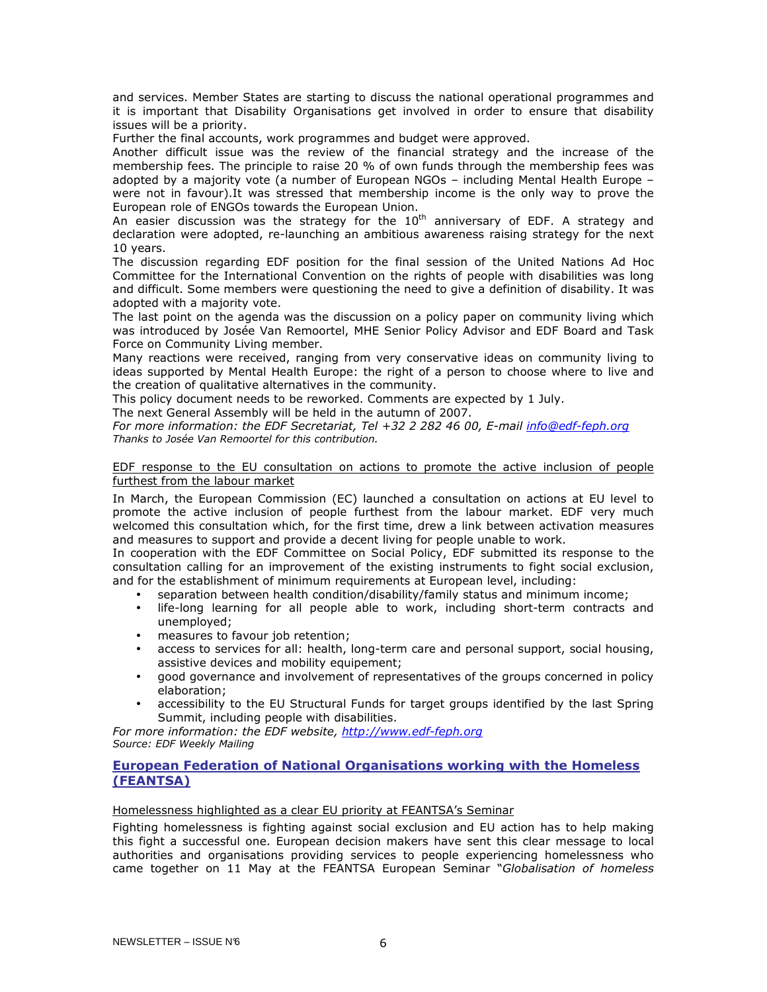and services. Member States are starting to discuss the national operational programmes and it is important that Disability Organisations get involved in order to ensure that disability issues will be a priority.

Further the final accounts, work programmes and budget were approved.

Another difficult issue was the review of the financial strategy and the increase of the membership fees. The principle to raise 20 % of own funds through the membership fees was adopted by a majority vote (a number of European NGOs – including Mental Health Europe – were not in favour).It was stressed that membership income is the only way to prove the European role of ENGOs towards the European Union.

An easier discussion was the strategy for the  $10<sup>th</sup>$  anniversary of EDF. A strategy and declaration were adopted, re-launching an ambitious awareness raising strategy for the next 10 years.

The discussion regarding EDF position for the final session of the United Nations Ad Hoc Committee for the International Convention on the rights of people with disabilities was long and difficult. Some members were questioning the need to give a definition of disability. It was adopted with a majority vote.

The last point on the agenda was the discussion on a policy paper on community living which was introduced by Josée Van Remoortel, MHE Senior Policy Advisor and EDF Board and Task Force on Community Living member.

Many reactions were received, ranging from very conservative ideas on community living to ideas supported by Mental Health Europe: the right of a person to choose where to live and the creation of qualitative alternatives in the community.

This policy document needs to be reworked. Comments are expected by 1 July.

The next General Assembly will be held in the autumn of 2007.

For more information: the EDF Secretariat, Tel +32 2 282 46 00, E-mail info@edf-feph.org Thanks to Josée Van Remoortel for this contribution.

## EDF response to the EU consultation on actions to promote the active inclusion of people furthest from the labour market

In March, the European Commission (EC) launched a consultation on actions at EU level to promote the active inclusion of people furthest from the labour market. EDF very much welcomed this consultation which, for the first time, drew a link between activation measures and measures to support and provide a decent living for people unable to work.

In cooperation with the EDF Committee on Social Policy, EDF submitted its response to the consultation calling for an improvement of the existing instruments to fight social exclusion, and for the establishment of minimum requirements at European level, including:

- separation between health condition/disability/family status and minimum income;
- life-long learning for all people able to work, including short-term contracts and unemployed;
- measures to favour job retention;
- access to services for all: health, long-term care and personal support, social housing, assistive devices and mobility equipement;
- good governance and involvement of representatives of the groups concerned in policy elaboration;
- accessibility to the EU Structural Funds for target groups identified by the last Spring Summit, including people with disabilities.

For more information: the EDF website, http://www.edf-feph.org Source: EDF Weekly Mailing

## European Federation of National Organisations working with the Homeless (FEANTSA)

## Homelessness highlighted as a clear EU priority at FEANTSA's Seminar

Fighting homelessness is fighting against social exclusion and EU action has to help making this fight a successful one. European decision makers have sent this clear message to local authorities and organisations providing services to people experiencing homelessness who came together on 11 May at the FEANTSA European Seminar "Globalisation of homeless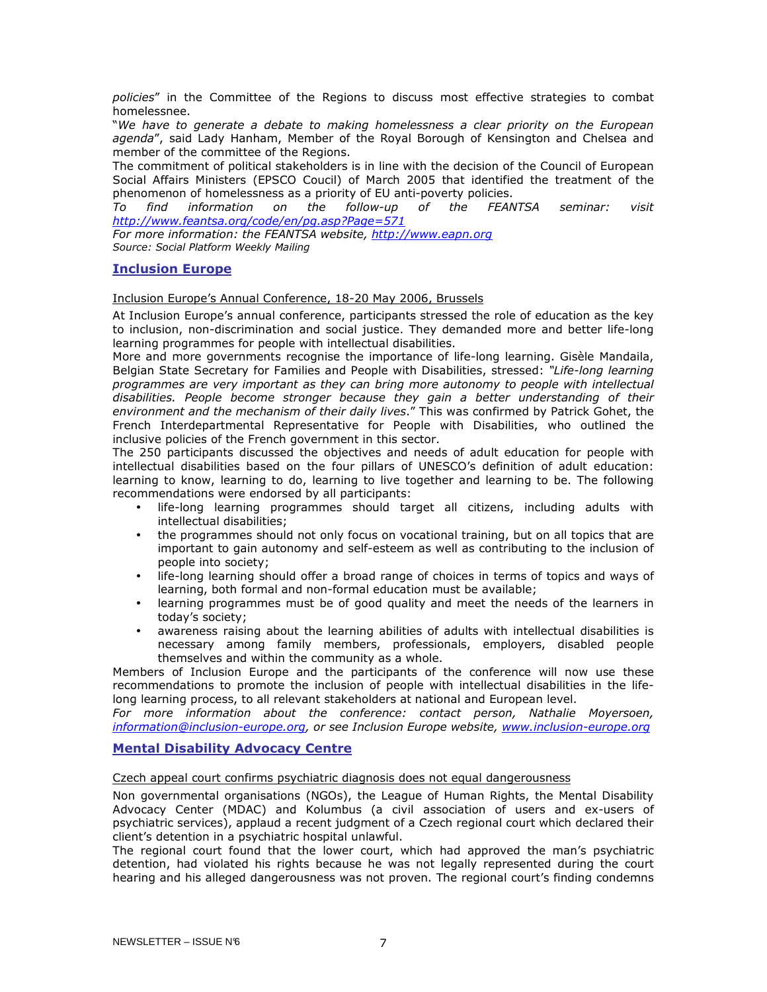policies" in the Committee of the Regions to discuss most effective strategies to combat homelessnee.

"We have to generate a debate to making homelessness a clear priority on the European agenda", said Lady Hanham, Member of the Royal Borough of Kensington and Chelsea and member of the committee of the Regions.

The commitment of political stakeholders is in line with the decision of the Council of European Social Affairs Ministers (EPSCO Coucil) of March 2005 that identified the treatment of the phenomenon of homelessness as a priority of EU anti-poverty policies.

To find information on the follow-up of the FEANTSA seminar: visit http://www.feantsa.org/code/en/pg.asp?Page=571

For more information: the FEANTSA website, http://www.eapn.org Source: Social Platform Weekly Mailing

## Inclusion Europe

Inclusion Europe's Annual Conference, 18-20 May 2006, Brussels

At Inclusion Europe's annual conference, participants stressed the role of education as the key to inclusion, non-discrimination and social justice. They demanded more and better life-long learning programmes for people with intellectual disabilities.

More and more governments recognise the importance of life-long learning. Gisèle Mandaila, Belgian State Secretary for Families and People with Disabilities, stressed: "Life-long learning programmes are very important as they can bring more autonomy to people with intellectual disabilities. People become stronger because they gain a better understanding of their environment and the mechanism of their daily lives." This was confirmed by Patrick Gohet, the French Interdepartmental Representative for People with Disabilities, who outlined the inclusive policies of the French government in this sector.

The 250 participants discussed the objectives and needs of adult education for people with intellectual disabilities based on the four pillars of UNESCO's definition of adult education: learning to know, learning to do, learning to live together and learning to be. The following recommendations were endorsed by all participants:

- life-long learning programmes should target all citizens, including adults with intellectual disabilities;
- the programmes should not only focus on vocational training, but on all topics that are important to gain autonomy and self-esteem as well as contributing to the inclusion of people into society;
- life-long learning should offer a broad range of choices in terms of topics and ways of learning, both formal and non-formal education must be available;
- learning programmes must be of good quality and meet the needs of the learners in today's society;
- awareness raising about the learning abilities of adults with intellectual disabilities is necessary among family members, professionals, employers, disabled people themselves and within the community as a whole.

Members of Inclusion Europe and the participants of the conference will now use these recommendations to promote the inclusion of people with intellectual disabilities in the lifelong learning process, to all relevant stakeholders at national and European level.

For more information about the conference: contact person, Nathalie Moyersoen, information@inclusion-europe.org, or see Inclusion Europe website, www.inclusion-europe.org

## Mental Disability Advocacy Centre

Czech appeal court confirms psychiatric diagnosis does not equal dangerousness

Non governmental organisations (NGOs), the League of Human Rights, the Mental Disability Advocacy Center (MDAC) and Kolumbus (a civil association of users and ex-users of psychiatric services), applaud a recent judgment of a Czech regional court which declared their client's detention in a psychiatric hospital unlawful.

The regional court found that the lower court, which had approved the man's psychiatric detention, had violated his rights because he was not legally represented during the court hearing and his alleged dangerousness was not proven. The regional court's finding condemns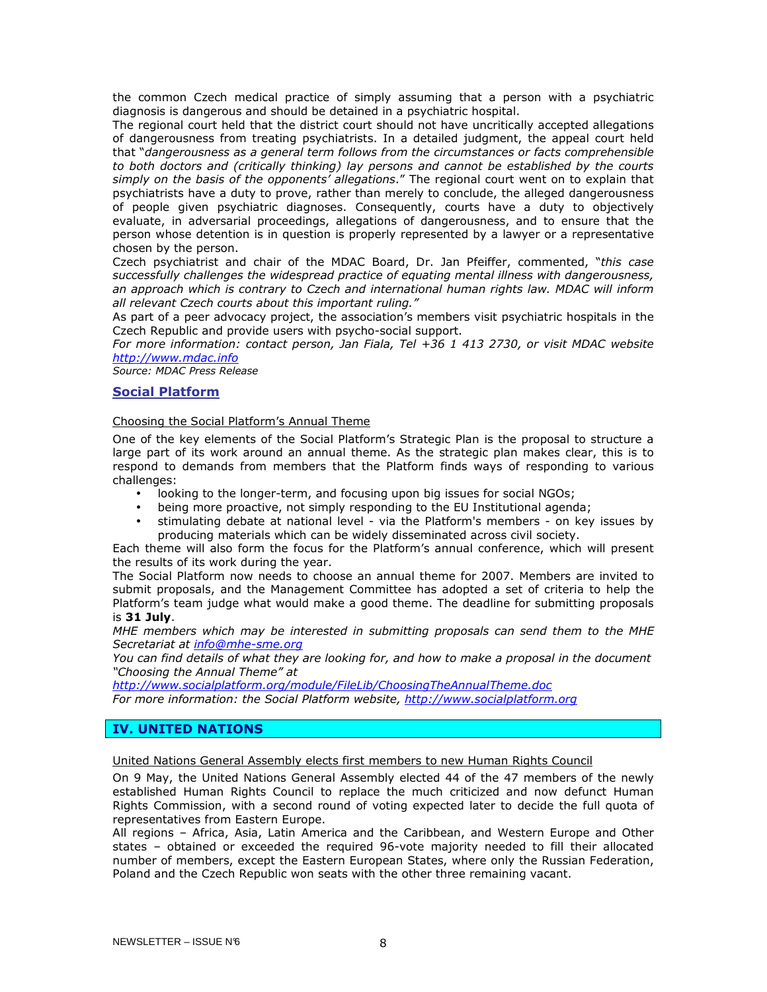the common Czech medical practice of simply assuming that a person with a psychiatric diagnosis is dangerous and should be detained in a psychiatric hospital.

The regional court held that the district court should not have uncritically accepted allegations of dangerousness from treating psychiatrists. In a detailed judgment, the appeal court held that "dangerousness as a general term follows from the circumstances or facts comprehensible to both doctors and (critically thinking) lay persons and cannot be established by the courts simply on the basis of the opponents' allegations." The regional court went on to explain that psychiatrists have a duty to prove, rather than merely to conclude, the alleged dangerousness of people given psychiatric diagnoses. Consequently, courts have a duty to objectively evaluate, in adversarial proceedings, allegations of dangerousness, and to ensure that the person whose detention is in question is properly represented by a lawyer or a representative chosen by the person.

Czech psychiatrist and chair of the MDAC Board, Dr. Jan Pfeiffer, commented, "this case successfully challenges the widespread practice of equating mental illness with dangerousness, an approach which is contrary to Czech and international human rights law. MDAC will inform all relevant Czech courts about this important ruling."

As part of a peer advocacy project, the association's members visit psychiatric hospitals in the Czech Republic and provide users with psycho-social support.

For more information: contact person, Jan Fiala, Tel +36 1 413 2730, or visit MDAC website http://www.mdac.info

Source: MDAC Press Release

## Social Platform

## Choosing the Social Platform's Annual Theme

One of the key elements of the Social Platform's Strategic Plan is the proposal to structure a large part of its work around an annual theme. As the strategic plan makes clear, this is to respond to demands from members that the Platform finds ways of responding to various challenges:

- looking to the longer-term, and focusing upon big issues for social NGOs;
- being more proactive, not simply responding to the EU Institutional agenda;
- stimulating debate at national level via the Platform's members on key issues by producing materials which can be widely disseminated across civil society.

Each theme will also form the focus for the Platform's annual conference, which will present the results of its work during the year.

The Social Platform now needs to choose an annual theme for 2007. Members are invited to submit proposals, and the Management Committee has adopted a set of criteria to help the Platform's team judge what would make a good theme. The deadline for submitting proposals is 31 July.

MHE members which may be interested in submitting proposals can send them to the MHE Secretariat at info@mhe-sme.org

You can find details of what they are looking for, and how to make a proposal in the document "Choosing the Annual Theme" at

http://www.socialplatform.org/module/FileLib/ChoosingTheAnnualTheme.doc For more information: the Social Platform website, http://www.socialplatform.org

## IV. UNITED NATIONS

United Nations General Assembly elects first members to new Human Rights Council

On 9 May, the United Nations General Assembly elected 44 of the 47 members of the newly established Human Rights Council to replace the much criticized and now defunct Human Rights Commission, with a second round of voting expected later to decide the full quota of representatives from Eastern Europe.

All regions – Africa, Asia, Latin America and the Caribbean, and Western Europe and Other states – obtained or exceeded the required 96-vote majority needed to fill their allocated number of members, except the Eastern European States, where only the Russian Federation, Poland and the Czech Republic won seats with the other three remaining vacant.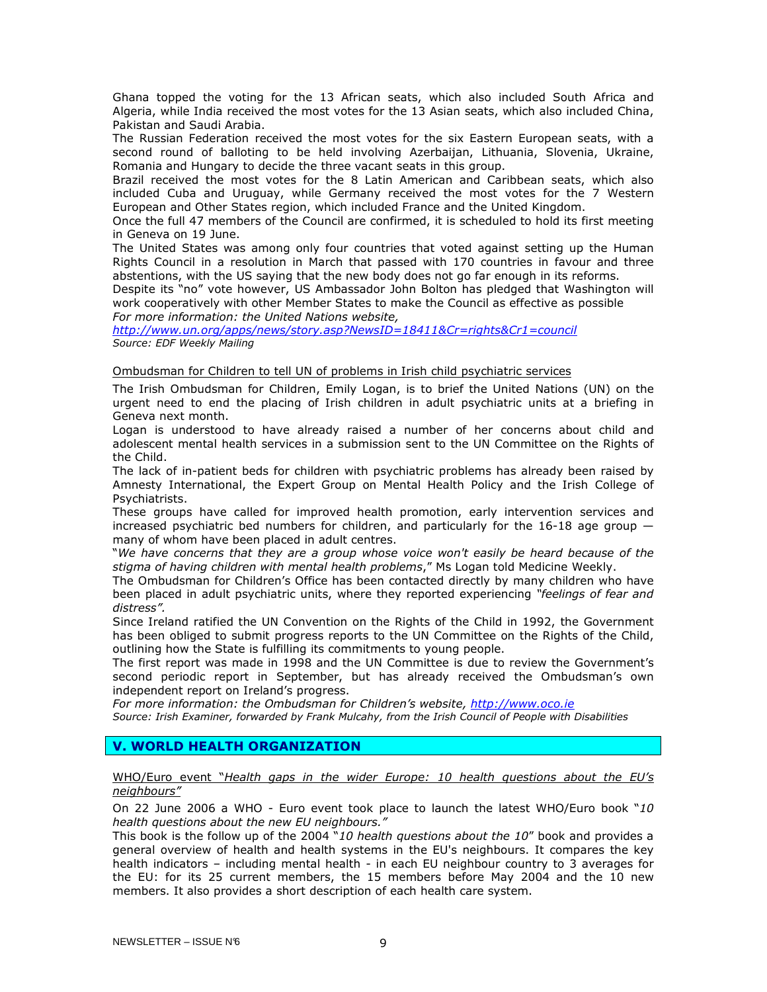Ghana topped the voting for the 13 African seats, which also included South Africa and Algeria, while India received the most votes for the 13 Asian seats, which also included China, Pakistan and Saudi Arabia.

The Russian Federation received the most votes for the six Eastern European seats, with a second round of balloting to be held involving Azerbaijan, Lithuania, Slovenia, Ukraine, Romania and Hungary to decide the three vacant seats in this group.

Brazil received the most votes for the 8 Latin American and Caribbean seats, which also included Cuba and Uruguay, while Germany received the most votes for the 7 Western European and Other States region, which included France and the United Kingdom.

Once the full 47 members of the Council are confirmed, it is scheduled to hold its first meeting in Geneva on 19 June.

The United States was among only four countries that voted against setting up the Human Rights Council in a resolution in March that passed with 170 countries in favour and three abstentions, with the US saying that the new body does not go far enough in its reforms.

Despite its "no" vote however, US Ambassador John Bolton has pledged that Washington will work cooperatively with other Member States to make the Council as effective as possible For more information: the United Nations website,

http://www.un.org/apps/news/story.asp?NewsID=18411&Cr=rights&Cr1=council Source: EDF Weekly Mailing

## Ombudsman for Children to tell UN of problems in Irish child psychiatric services

The Irish Ombudsman for Children, Emily Logan, is to brief the United Nations (UN) on the urgent need to end the placing of Irish children in adult psychiatric units at a briefing in Geneva next month.

Logan is understood to have already raised a number of her concerns about child and adolescent mental health services in a submission sent to the UN Committee on the Rights of the Child.

The lack of in-patient beds for children with psychiatric problems has already been raised by Amnesty International, the Expert Group on Mental Health Policy and the Irish College of Psychiatrists.

These groups have called for improved health promotion, early intervention services and increased psychiatric bed numbers for children, and particularly for the  $16-18$  age group  $$ many of whom have been placed in adult centres.

"We have concerns that they are a group whose voice won't easily be heard because of the stigma of having children with mental health problems," Ms Logan told Medicine Weekly.

The Ombudsman for Children's Office has been contacted directly by many children who have been placed in adult psychiatric units, where they reported experiencing "feelings of fear and distress".

Since Ireland ratified the UN Convention on the Rights of the Child in 1992, the Government has been obliged to submit progress reports to the UN Committee on the Rights of the Child, outlining how the State is fulfilling its commitments to young people.

The first report was made in 1998 and the UN Committee is due to review the Government's second periodic report in September, but has already received the Ombudsman's own independent report on Ireland's progress.

For more information: the Ombudsman for Children's website, http://www.oco.ie

Source: Irish Examiner, forwarded by Frank Mulcahy, from the Irish Council of People with Disabilities

## V. WORLD HEALTH ORGANIZATION

WHO/Euro event "Health gaps in the wider Europe: 10 health questions about the EU's neighbours"

On 22 June 2006 a WHO - Euro event took place to launch the latest WHO/Euro book " $10$ health questions about the new EU neighbours."

This book is the follow up of the 2004 "10 health questions about the 10" book and provides a general overview of health and health systems in the EU's neighbours. It compares the key health indicators – including mental health - in each EU neighbour country to 3 averages for the EU: for its 25 current members, the 15 members before May 2004 and the 10 new members. It also provides a short description of each health care system.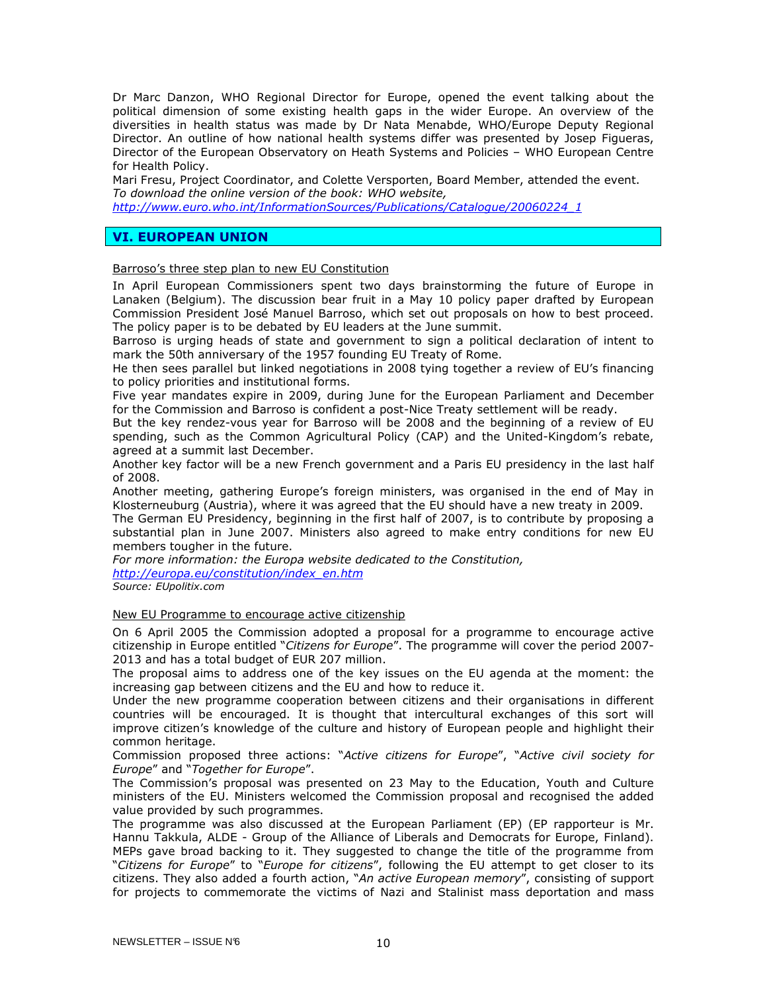Dr Marc Danzon, WHO Regional Director for Europe, opened the event talking about the political dimension of some existing health gaps in the wider Europe. An overview of the diversities in health status was made by Dr Nata Menabde, WHO/Europe Deputy Regional Director. An outline of how national health systems differ was presented by Josep Figueras, Director of the European Observatory on Heath Systems and Policies – WHO European Centre for Health Policy.

Mari Fresu, Project Coordinator, and Colette Versporten, Board Member, attended the event. To download the online version of the book: WHO website,

http://www.euro.who.int/InformationSources/Publications/Catalogue/20060224\_1

## VI. EUROPEAN UNION

Barroso's three step plan to new EU Constitution

In April European Commissioners spent two days brainstorming the future of Europe in Lanaken (Belgium). The discussion bear fruit in a May 10 policy paper drafted by European Commission President José Manuel Barroso, which set out proposals on how to best proceed. The policy paper is to be debated by EU leaders at the June summit.

Barroso is urging heads of state and government to sign a political declaration of intent to mark the 50th anniversary of the 1957 founding EU Treaty of Rome.

He then sees parallel but linked negotiations in 2008 tying together a review of EU's financing to policy priorities and institutional forms.

Five year mandates expire in 2009, during June for the European Parliament and December for the Commission and Barroso is confident a post-Nice Treaty settlement will be ready.

But the key rendez-vous year for Barroso will be 2008 and the beginning of a review of EU spending, such as the Common Agricultural Policy (CAP) and the United-Kingdom's rebate, agreed at a summit last December.

Another key factor will be a new French government and a Paris EU presidency in the last half of 2008.

Another meeting, gathering Europe's foreign ministers, was organised in the end of May in Klosterneuburg (Austria), where it was agreed that the EU should have a new treaty in 2009.

The German EU Presidency, beginning in the first half of 2007, is to contribute by proposing a substantial plan in June 2007. Ministers also agreed to make entry conditions for new EU members tougher in the future.

For more information: the Europa website dedicated to the Constitution, http://europa.eu/constitution/index\_en.htm

Source: EUpolitix.com

#### New EU Programme to encourage active citizenship

On 6 April 2005 the Commission adopted a proposal for a programme to encourage active citizenship in Europe entitled "Citizens for Europe". The programme will cover the period 2007-2013 and has a total budget of EUR 207 million.

The proposal aims to address one of the key issues on the EU agenda at the moment: the increasing gap between citizens and the EU and how to reduce it.

Under the new programme cooperation between citizens and their organisations in different countries will be encouraged. It is thought that intercultural exchanges of this sort will improve citizen's knowledge of the culture and history of European people and highlight their common heritage.

Commission proposed three actions: "Active citizens for Europe", "Active civil society for Europe" and "Together for Europe".

The Commission's proposal was presented on 23 May to the Education, Youth and Culture ministers of the EU. Ministers welcomed the Commission proposal and recognised the added value provided by such programmes.

The programme was also discussed at the European Parliament (EP) (EP rapporteur is Mr. Hannu Takkula, ALDE - Group of the Alliance of Liberals and Democrats for Europe, Finland). MEPs gave broad backing to it. They suggested to change the title of the programme from "Citizens for Europe" to "Europe for citizens", following the EU attempt to get closer to its citizens. They also added a fourth action, "An active European memory", consisting of support for projects to commemorate the victims of Nazi and Stalinist mass deportation and mass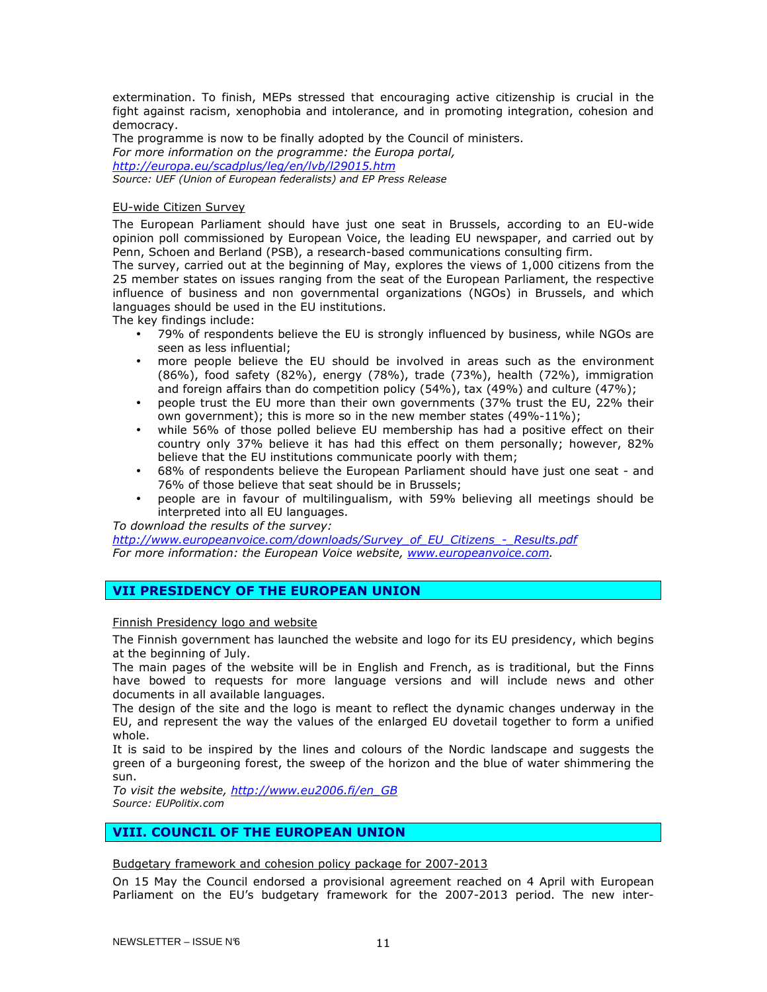extermination. To finish, MEPs stressed that encouraging active citizenship is crucial in the fight against racism, xenophobia and intolerance, and in promoting integration, cohesion and democracy.

The programme is now to be finally adopted by the Council of ministers. For more information on the programme: the Europa portal, http://europa.eu/scadplus/leg/en/lvb/l29015.htm Source: UEF (Union of European federalists) and EP Press Release

## EU-wide Citizen Survey

The European Parliament should have just one seat in Brussels, according to an EU-wide opinion poll commissioned by European Voice, the leading EU newspaper, and carried out by Penn, Schoen and Berland (PSB), a research-based communications consulting firm.

The survey, carried out at the beginning of May, explores the views of 1,000 citizens from the 25 member states on issues ranging from the seat of the European Parliament, the respective influence of business and non governmental organizations (NGOs) in Brussels, and which languages should be used in the EU institutions.

The key findings include:

- 79% of respondents believe the EU is strongly influenced by business, while NGOs are seen as less influential;
- more people believe the EU should be involved in areas such as the environment (86%), food safety (82%), energy (78%), trade (73%), health (72%), immigration and foreign affairs than do competition policy (54%), tax (49%) and culture (47%);
- people trust the EU more than their own governments (37% trust the EU, 22% their own government); this is more so in the new member states (49%-11%);
- while 56% of those polled believe EU membership has had a positive effect on their country only 37% believe it has had this effect on them personally; however, 82% believe that the EU institutions communicate poorly with them;
- 68% of respondents believe the European Parliament should have just one seat and 76% of those believe that seat should be in Brussels;
- people are in favour of multilingualism, with 59% believing all meetings should be interpreted into all EU languages.

To download the results of the survey:

http://www.europeanvoice.com/downloads/Survey\_of\_EU\_Citizens\_-\_Results.pdf For more information: the European Voice website, www.europeanvoice.com.

## VII PRESIDENCY OF THE EUROPEAN UNION

## Finnish Presidency logo and website

The Finnish government has launched the website and logo for its EU presidency, which begins at the beginning of July.

The main pages of the website will be in English and French, as is traditional, but the Finns have bowed to requests for more language versions and will include news and other documents in all available languages.

The design of the site and the logo is meant to reflect the dynamic changes underway in the EU, and represent the way the values of the enlarged EU dovetail together to form a unified whole.

It is said to be inspired by the lines and colours of the Nordic landscape and suggests the green of a burgeoning forest, the sweep of the horizon and the blue of water shimmering the sun.

To visit the website, http://www.eu2006.fi/en\_GB Source: EUPolitix.com

## VIII. COUNCIL OF THE EUROPEAN UNION

Budgetary framework and cohesion policy package for 2007-2013

On 15 May the Council endorsed a provisional agreement reached on 4 April with European Parliament on the EU's budgetary framework for the 2007-2013 period. The new inter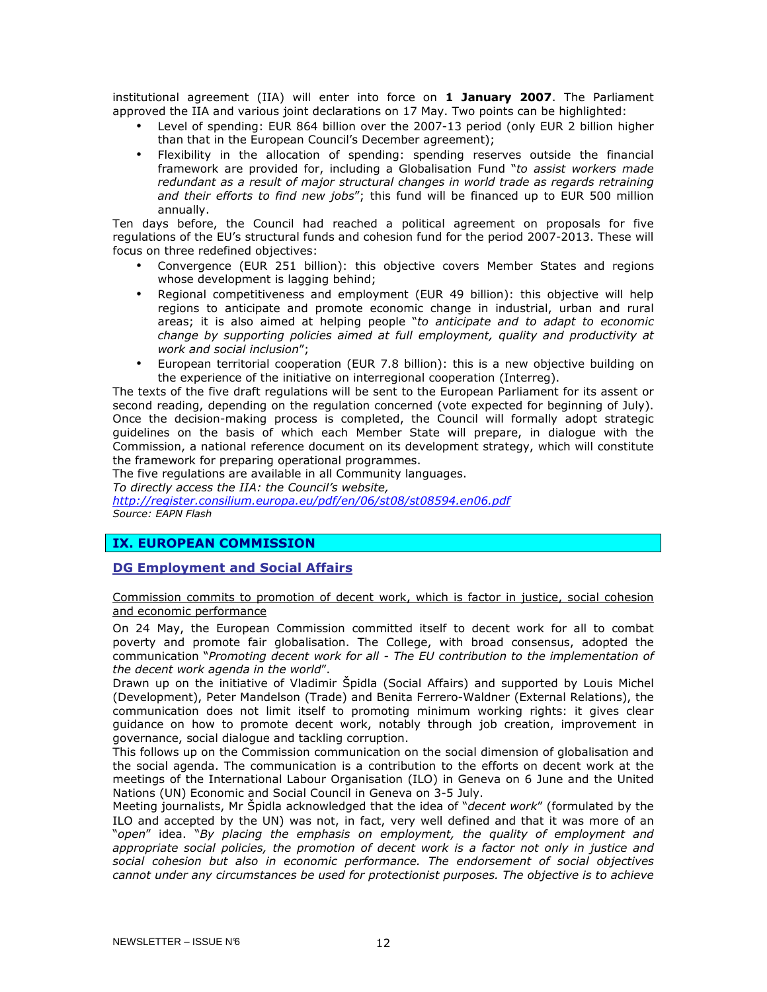institutional agreement (IIA) will enter into force on 1 January 2007. The Parliament approved the IIA and various joint declarations on 17 May. Two points can be highlighted:

- Level of spending: EUR 864 billion over the 2007-13 period (only EUR 2 billion higher than that in the European Council's December agreement);
- Flexibility in the allocation of spending: spending reserves outside the financial framework are provided for, including a Globalisation Fund "to assist workers made redundant as a result of major structural changes in world trade as regards retraining and their efforts to find new jobs"; this fund will be financed up to EUR 500 million annually.

Ten days before, the Council had reached a political agreement on proposals for five regulations of the EU's structural funds and cohesion fund for the period 2007-2013. These will focus on three redefined objectives:

- Convergence (EUR 251 billion): this objective covers Member States and regions whose development is lagging behind;
- Regional competitiveness and employment (EUR 49 billion): this objective will help regions to anticipate and promote economic change in industrial, urban and rural areas; it is also aimed at helping people "to anticipate and to adapt to economic change by supporting policies aimed at full employment, quality and productivity at work and social inclusion";
- European territorial cooperation (EUR 7.8 billion): this is a new objective building on the experience of the initiative on interregional cooperation (Interreg).

The texts of the five draft regulations will be sent to the European Parliament for its assent or second reading, depending on the regulation concerned (vote expected for beginning of July). Once the decision-making process is completed, the Council will formally adopt strategic guidelines on the basis of which each Member State will prepare, in dialogue with the Commission, a national reference document on its development strategy, which will constitute the framework for preparing operational programmes.

The five regulations are available in all Community languages.

To directly access the IIA: the Council's website,

http://register.consilium.europa.eu/pdf/en/06/st08/st08594.en06.pdf Source: EAPN Flash

## IX. EUROPEAN COMMISSION

## DG Employment and Social Affairs

Commission commits to promotion of decent work, which is factor in justice, social cohesion and economic performance

On 24 May, the European Commission committed itself to decent work for all to combat poverty and promote fair globalisation. The College, with broad consensus, adopted the communication "Promoting decent work for all - The EU contribution to the implementation of the decent work agenda in the world".

Drawn up on the initiative of Vladimir Špidla (Social Affairs) and supported by Louis Michel (Development), Peter Mandelson (Trade) and Benita Ferrero-Waldner (External Relations), the communication does not limit itself to promoting minimum working rights: it gives clear guidance on how to promote decent work, notably through job creation, improvement in governance, social dialogue and tackling corruption.

This follows up on the Commission communication on the social dimension of globalisation and the social agenda. The communication is a contribution to the efforts on decent work at the meetings of the International Labour Organisation (ILO) in Geneva on 6 June and the United Nations (UN) Economic and Social Council in Geneva on 3-5 July.

Meeting journalists, Mr Spidla acknowledged that the idea of "decent work" (formulated by the ILO and accepted by the UN) was not, in fact, very well defined and that it was more of an "open" idea. "By placing the emphasis on employment, the quality of employment and appropriate social policies, the promotion of decent work is a factor not only in justice and social cohesion but also in economic performance. The endorsement of social objectives cannot under any circumstances be used for protectionist purposes. The objective is to achieve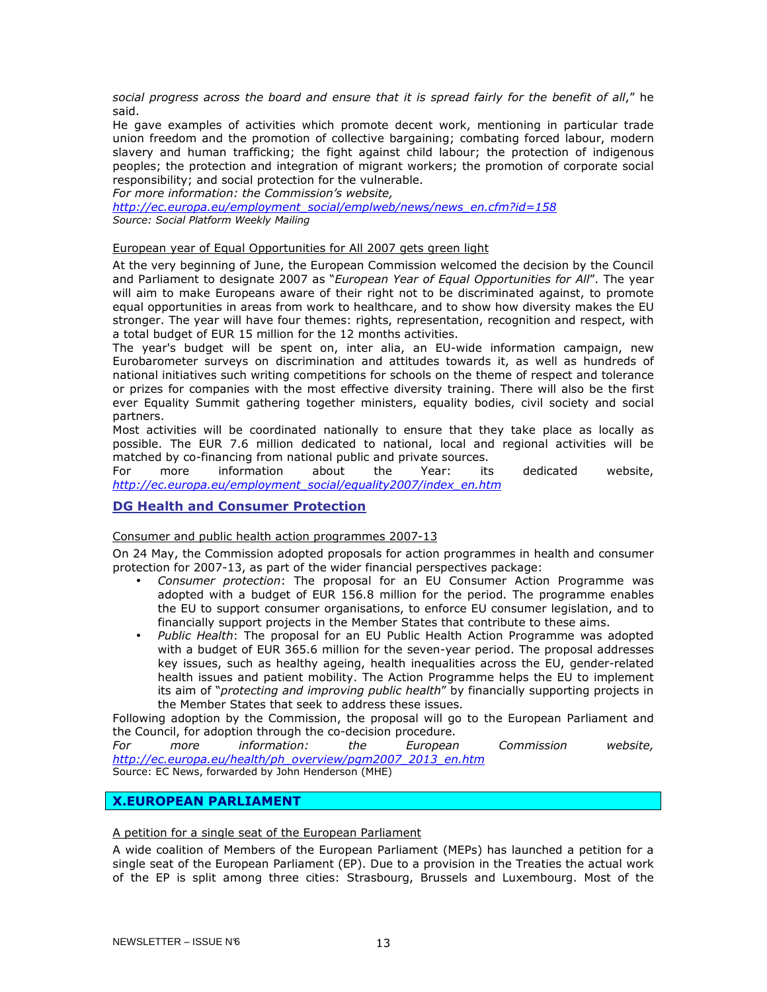social progress across the board and ensure that it is spread fairly for the benefit of all," he said.

He gave examples of activities which promote decent work, mentioning in particular trade union freedom and the promotion of collective bargaining; combating forced labour, modern slavery and human trafficking; the fight against child labour; the protection of indigenous peoples; the protection and integration of migrant workers; the promotion of corporate social responsibility; and social protection for the vulnerable.

For more information: the Commission's website,

http://ec.europa.eu/employment\_social/emplweb/news/news\_en.cfm?id=158 Source: Social Platform Weekly Mailing

## European year of Equal Opportunities for All 2007 gets green light

At the very beginning of June, the European Commission welcomed the decision by the Council and Parliament to designate 2007 as "European Year of Equal Opportunities for All". The year will aim to make Europeans aware of their right not to be discriminated against, to promote equal opportunities in areas from work to healthcare, and to show how diversity makes the EU stronger. The year will have four themes: rights, representation, recognition and respect, with a total budget of EUR 15 million for the 12 months activities.

The year's budget will be spent on, inter alia, an EU-wide information campaign, new Eurobarometer surveys on discrimination and attitudes towards it, as well as hundreds of national initiatives such writing competitions for schools on the theme of respect and tolerance or prizes for companies with the most effective diversity training. There will also be the first ever Equality Summit gathering together ministers, equality bodies, civil society and social partners.

Most activities will be coordinated nationally to ensure that they take place as locally as possible. The EUR 7.6 million dedicated to national, local and regional activities will be matched by co-financing from national public and private sources.<br>For more information about the Year: its

For more information about the Year: its dedicated website, http://ec.europa.eu/employment\_social/equality2007/index\_en.htm

## DG Health and Consumer Protection

## Consumer and public health action programmes 2007-13

On 24 May, the Commission adopted proposals for action programmes in health and consumer protection for 2007-13, as part of the wider financial perspectives package:

- Consumer protection: The proposal for an EU Consumer Action Programme was adopted with a budget of EUR 156.8 million for the period. The programme enables the EU to support consumer organisations, to enforce EU consumer legislation, and to financially support projects in the Member States that contribute to these aims.
- Public Health: The proposal for an EU Public Health Action Programme was adopted with a budget of EUR 365.6 million for the seven-year period. The proposal addresses key issues, such as healthy ageing, health inequalities across the EU, gender-related health issues and patient mobility. The Action Programme helps the EU to implement its aim of "protecting and improving public health" by financially supporting projects in the Member States that seek to address these issues.

Following adoption by the Commission, the proposal will go to the European Parliament and the Council, for adoption through the co-decision procedure.<br>For more information: the European

For more information: the European Commission website, http://ec.europa.eu/health/ph\_overview/pgm2007\_2013\_en.htm

Source: EC News, forwarded by John Henderson (MHE)

## X.EUROPEAN PARLIAMENT

## A petition for a single seat of the European Parliament

A wide coalition of Members of the European Parliament (MEPs) has launched a petition for a single seat of the European Parliament (EP). Due to a provision in the Treaties the actual work of the EP is split among three cities: Strasbourg, Brussels and Luxembourg. Most of the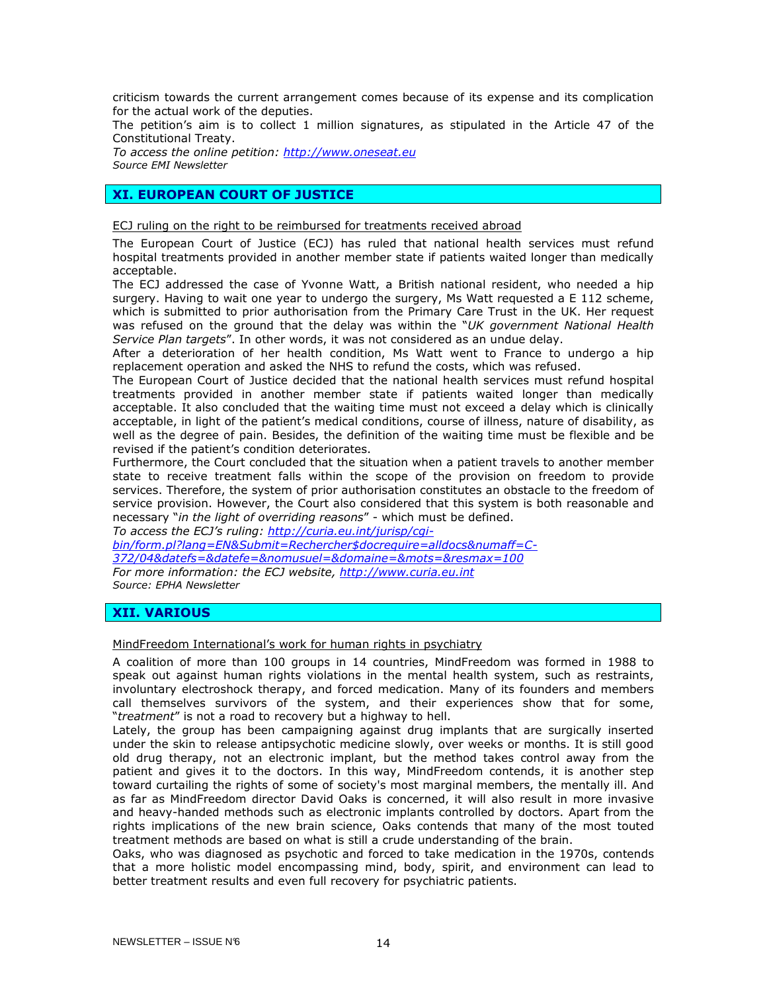criticism towards the current arrangement comes because of its expense and its complication for the actual work of the deputies.

The petition's aim is to collect 1 million signatures, as stipulated in the Article 47 of the Constitutional Treaty.

To access the online petition: http://www.oneseat.eu Source EMI Newsletter

## XI. EUROPEAN COURT OF JUSTICE

ECJ ruling on the right to be reimbursed for treatments received abroad

The European Court of Justice (ECJ) has ruled that national health services must refund hospital treatments provided in another member state if patients waited longer than medically acceptable.

The ECJ addressed the case of Yvonne Watt, a British national resident, who needed a hip surgery. Having to wait one year to undergo the surgery, Ms Watt requested a E 112 scheme, which is submitted to prior authorisation from the Primary Care Trust in the UK. Her request was refused on the ground that the delay was within the "UK government National Health Service Plan targets". In other words, it was not considered as an undue delay.

After a deterioration of her health condition, Ms Watt went to France to undergo a hip replacement operation and asked the NHS to refund the costs, which was refused.

The European Court of Justice decided that the national health services must refund hospital treatments provided in another member state if patients waited longer than medically acceptable. It also concluded that the waiting time must not exceed a delay which is clinically acceptable, in light of the patient's medical conditions, course of illness, nature of disability, as well as the degree of pain. Besides, the definition of the waiting time must be flexible and be revised if the patient's condition deteriorates.

Furthermore, the Court concluded that the situation when a patient travels to another member state to receive treatment falls within the scope of the provision on freedom to provide services. Therefore, the system of prior authorisation constitutes an obstacle to the freedom of service provision. However, the Court also considered that this system is both reasonable and necessary "in the light of overriding reasons" - which must be defined.

To access the ECJ's ruling: http://curia.eu.int/jurisp/cgibin/form.pl?lang=EN&Submit=Rechercher\$docrequire=alldocs&numaff=C-372/04&datefs=&datefe=&nomusuel=&domaine=&mots=&resmax=100 For more information: the ECJ website, http://www.curia.eu.int Source: EPHA Newsletter

## XII. VARIOUS

## MindFreedom International's work for human rights in psychiatry

A coalition of more than 100 groups in 14 countries, MindFreedom was formed in 1988 to speak out against human rights violations in the mental health system, such as restraints, involuntary electroshock therapy, and forced medication. Many of its founders and members call themselves survivors of the system, and their experiences show that for some, "treatment" is not a road to recovery but a highway to hell.

Lately, the group has been campaigning against drug implants that are surgically inserted under the skin to release antipsychotic medicine slowly, over weeks or months. It is still good old drug therapy, not an electronic implant, but the method takes control away from the patient and gives it to the doctors. In this way, MindFreedom contends, it is another step toward curtailing the rights of some of society's most marginal members, the mentally ill. And as far as MindFreedom director David Oaks is concerned, it will also result in more invasive and heavy-handed methods such as electronic implants controlled by doctors. Apart from the rights implications of the new brain science, Oaks contends that many of the most touted treatment methods are based on what is still a crude understanding of the brain.

Oaks, who was diagnosed as psychotic and forced to take medication in the 1970s, contends that a more holistic model encompassing mind, body, spirit, and environment can lead to better treatment results and even full recovery for psychiatric patients.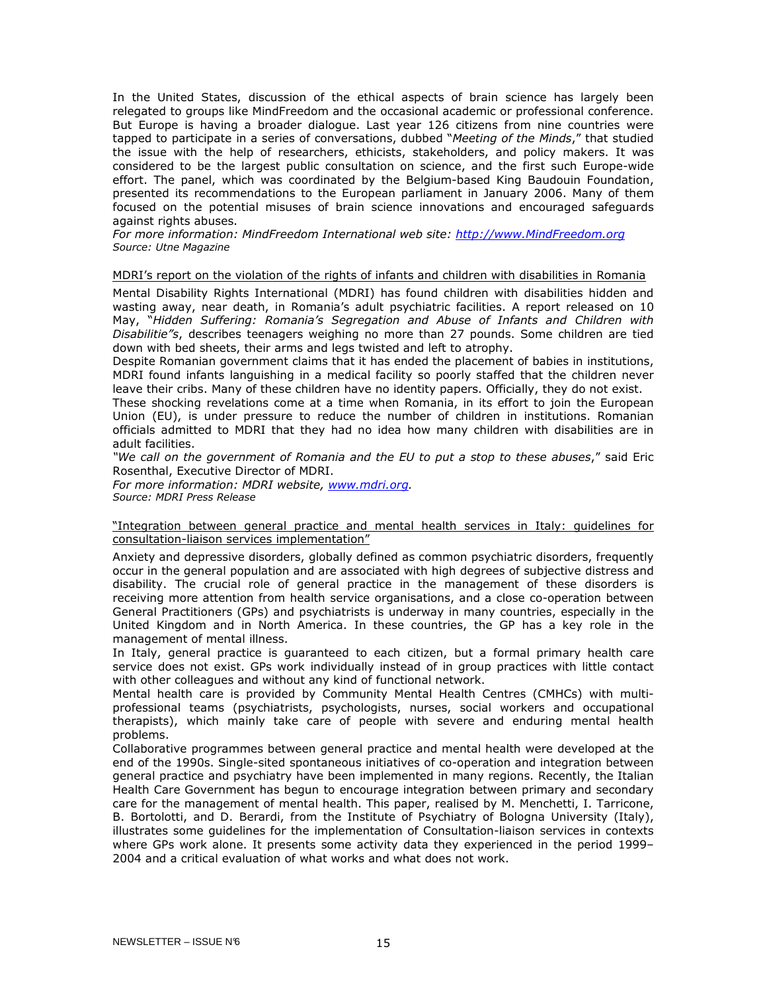In the United States, discussion of the ethical aspects of brain science has largely been relegated to groups like MindFreedom and the occasional academic or professional conference. But Europe is having a broader dialogue. Last year 126 citizens from nine countries were tapped to participate in a series of conversations, dubbed "Meeting of the Minds," that studied the issue with the help of researchers, ethicists, stakeholders, and policy makers. It was considered to be the largest public consultation on science, and the first such Europe-wide effort. The panel, which was coordinated by the Belgium-based King Baudouin Foundation, presented its recommendations to the European parliament in January 2006. Many of them focused on the potential misuses of brain science innovations and encouraged safeguards against rights abuses.

For more information: MindFreedom International web site: http://www.MindFreedom.org Source: Utne Magazine

MDRI's report on the violation of the rights of infants and children with disabilities in Romania

Mental Disability Rights International (MDRI) has found children with disabilities hidden and wasting away, near death, in Romania's adult psychiatric facilities. A report released on 10 May, "Hidden Suffering: Romania's Segregation and Abuse of Infants and Children with Disabilitie"s, describes teenagers weighing no more than 27 pounds. Some children are tied down with bed sheets, their arms and legs twisted and left to atrophy.

Despite Romanian government claims that it has ended the placement of babies in institutions, MDRI found infants languishing in a medical facility so poorly staffed that the children never leave their cribs. Many of these children have no identity papers. Officially, they do not exist.

These shocking revelations come at a time when Romania, in its effort to join the European Union (EU), is under pressure to reduce the number of children in institutions. Romanian officials admitted to MDRI that they had no idea how many children with disabilities are in adult facilities.

"We call on the government of Romania and the EU to put a stop to these abuses," said Eric Rosenthal, Executive Director of MDRI.

For more information: MDRI website, www.mdri.org. Source: MDRI Press Release

#### "Integration between general practice and mental health services in Italy: guidelines for consultation-liaison services implementation"

Anxiety and depressive disorders, globally defined as common psychiatric disorders, frequently occur in the general population and are associated with high degrees of subjective distress and disability. The crucial role of general practice in the management of these disorders is receiving more attention from health service organisations, and a close co-operation between General Practitioners (GPs) and psychiatrists is underway in many countries, especially in the United Kingdom and in North America. In these countries, the GP has a key role in the management of mental illness.

In Italy, general practice is guaranteed to each citizen, but a formal primary health care service does not exist. GPs work individually instead of in group practices with little contact with other colleagues and without any kind of functional network.

Mental health care is provided by Community Mental Health Centres (CMHCs) with multiprofessional teams (psychiatrists, psychologists, nurses, social workers and occupational therapists), which mainly take care of people with severe and enduring mental health problems.

Collaborative programmes between general practice and mental health were developed at the end of the 1990s. Single-sited spontaneous initiatives of co-operation and integration between general practice and psychiatry have been implemented in many regions. Recently, the Italian Health Care Government has begun to encourage integration between primary and secondary care for the management of mental health. This paper, realised by M. Menchetti, I. Tarricone, B. Bortolotti, and D. Berardi, from the Institute of Psychiatry of Bologna University (Italy), illustrates some guidelines for the implementation of Consultation-liaison services in contexts where GPs work alone. It presents some activity data they experienced in the period 1999– 2004 and a critical evaluation of what works and what does not work.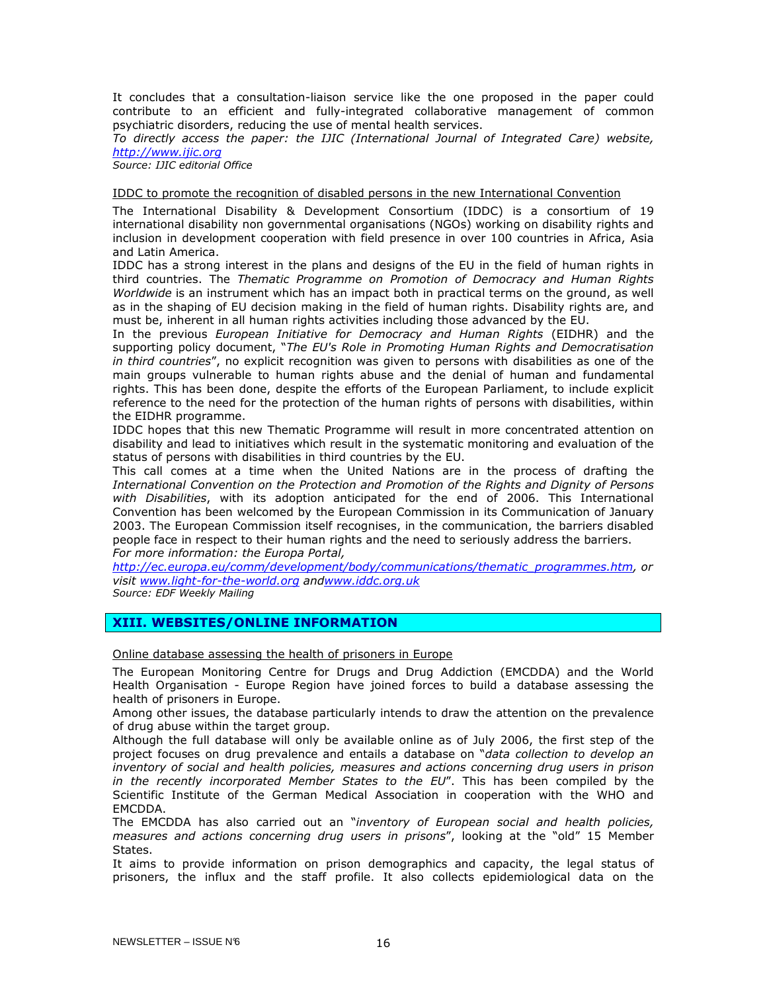It concludes that a consultation-liaison service like the one proposed in the paper could contribute to an efficient and fully-integrated collaborative management of common psychiatric disorders, reducing the use of mental health services.

To directly access the paper: the IJIC (International Journal of Integrated Care) website, http://www.ijic.org

Source: IJIC editorial Office

IDDC to promote the recognition of disabled persons in the new International Convention

The International Disability & Development Consortium (IDDC) is a consortium of 19 international disability non governmental organisations (NGOs) working on disability rights and inclusion in development cooperation with field presence in over 100 countries in Africa, Asia and Latin America.

IDDC has a strong interest in the plans and designs of the EU in the field of human rights in third countries. The Thematic Programme on Promotion of Democracy and Human Rights Worldwide is an instrument which has an impact both in practical terms on the ground, as well as in the shaping of EU decision making in the field of human rights. Disability rights are, and must be, inherent in all human rights activities including those advanced by the EU.

In the previous *European Initiative for Democracy and Human Rights* (EIDHR) and the supporting policy document, "The EU's Role in Promoting Human Rights and Democratisation in third countries", no explicit recognition was given to persons with disabilities as one of the main groups vulnerable to human rights abuse and the denial of human and fundamental rights. This has been done, despite the efforts of the European Parliament, to include explicit reference to the need for the protection of the human rights of persons with disabilities, within the EIDHR programme.

IDDC hopes that this new Thematic Programme will result in more concentrated attention on disability and lead to initiatives which result in the systematic monitoring and evaluation of the status of persons with disabilities in third countries by the EU.

This call comes at a time when the United Nations are in the process of drafting the International Convention on the Protection and Promotion of the Rights and Dignity of Persons with Disabilities, with its adoption anticipated for the end of 2006. This International Convention has been welcomed by the European Commission in its Communication of January 2003. The European Commission itself recognises, in the communication, the barriers disabled people face in respect to their human rights and the need to seriously address the barriers. For more information: the Europa Portal,

http://ec.europa.eu/comm/development/body/communications/thematic\_programmes.htm, or visit www.light-for-the-world.org andwww.iddc.org.uk Source: EDF Weekly Mailing

## XIII. WEBSITES/ONLINE INFORMATION

Online database assessing the health of prisoners in Europe

The European Monitoring Centre for Drugs and Drug Addiction (EMCDDA) and the World Health Organisation - Europe Region have joined forces to build a database assessing the health of prisoners in Europe.

Among other issues, the database particularly intends to draw the attention on the prevalence of drug abuse within the target group.

Although the full database will only be available online as of July 2006, the first step of the project focuses on drug prevalence and entails a database on "*data collection to develop an* inventory of social and health policies, measures and actions concerning drug users in prison in the recently incorporated Member States to the EU". This has been compiled by the Scientific Institute of the German Medical Association in cooperation with the WHO and EMCDDA.

The EMCDDA has also carried out an "inventory of European social and health policies, measures and actions concerning drug users in prisons", looking at the "old" 15 Member States.

It aims to provide information on prison demographics and capacity, the legal status of prisoners, the influx and the staff profile. It also collects epidemiological data on the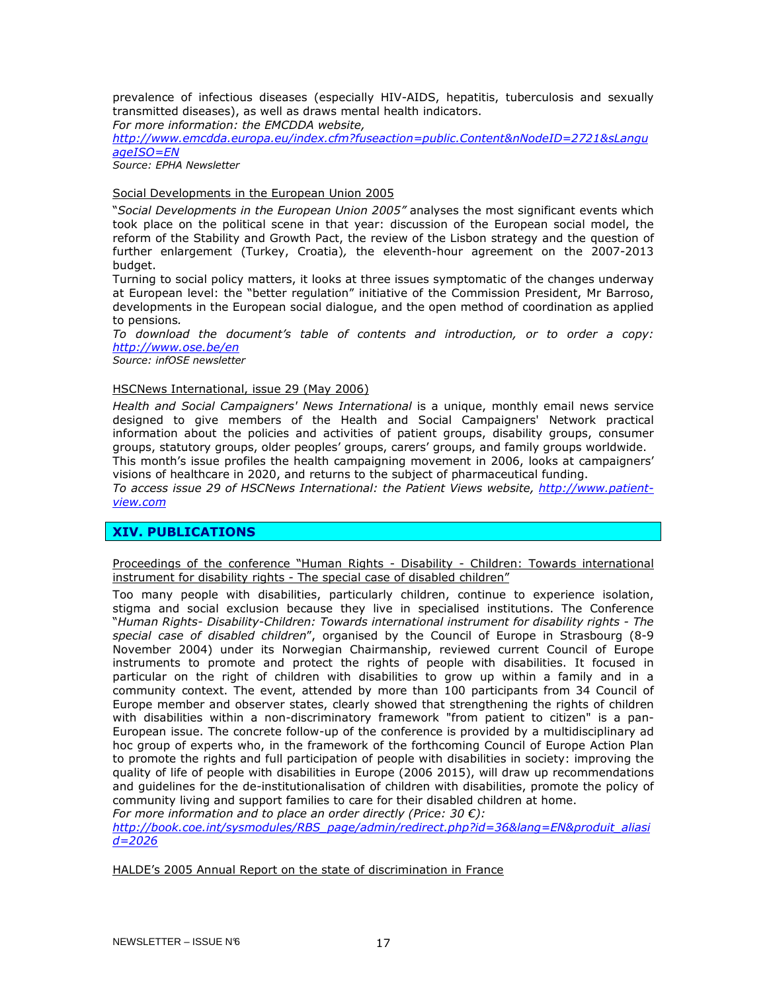prevalence of infectious diseases (especially HIV-AIDS, hepatitis, tuberculosis and sexually transmitted diseases), as well as draws mental health indicators.

For more information: the EMCDDA website,

http://www.emcdda.europa.eu/index.cfm?fuseaction=public.Content&nNodeID=2721&sLangu ageISO=EN

Source: EPHA Newsletter

## Social Developments in the European Union 2005

"Social Developments in the European Union 2005" analyses the most significant events which took place on the political scene in that year: discussion of the European social model, the reform of the Stability and Growth Pact, the review of the Lisbon strategy and the question of further enlargement (Turkey, Croatia), the eleventh-hour agreement on the 2007-2013 budget.

Turning to social policy matters, it looks at three issues symptomatic of the changes underway at European level: the "better regulation" initiative of the Commission President, Mr Barroso, developments in the European social dialogue, and the open method of coordination as applied to pensions.

To download the document's table of contents and introduction, or to order a copy: http://www.ose.be/en

Source: infOSE newsletter

#### HSCNews International, issue 29 (May 2006)

Health and Social Campaigners' News International is a unique, monthly email news service designed to give members of the Health and Social Campaigners' Network practical information about the policies and activities of patient groups, disability groups, consumer groups, statutory groups, older peoples' groups, carers' groups, and family groups worldwide. This month's issue profiles the health campaigning movement in 2006, looks at campaigners'

visions of healthcare in 2020, and returns to the subject of pharmaceutical funding.

To access issue 29 of HSCNews International: the Patient Views website, http://www.patientview.com

## XIV. PUBLICATIONS

Proceedings of the conference "Human Rights - Disability - Children: Towards international instrument for disability rights - The special case of disabled children"

Too many people with disabilities, particularly children, continue to experience isolation, stigma and social exclusion because they live in specialised institutions. The Conference "Human Rights- Disability-Children: Towards international instrument for disability rights - The special case of disabled children", organised by the Council of Europe in Strasbourg (8-9 November 2004) under its Norwegian Chairmanship, reviewed current Council of Europe instruments to promote and protect the rights of people with disabilities. It focused in particular on the right of children with disabilities to grow up within a family and in a community context. The event, attended by more than 100 participants from 34 Council of Europe member and observer states, clearly showed that strengthening the rights of children with disabilities within a non-discriminatory framework "from patient to citizen" is a pan-European issue. The concrete follow-up of the conference is provided by a multidisciplinary ad hoc group of experts who, in the framework of the forthcoming Council of Europe Action Plan to promote the rights and full participation of people with disabilities in society: improving the quality of life of people with disabilities in Europe (2006 2015), will draw up recommendations and guidelines for the de-institutionalisation of children with disabilities, promote the policy of community living and support families to care for their disabled children at home.

For more information and to place an order directly (Price: 30  $\epsilon$ ):

http://book.coe.int/sysmodules/RBS\_page/admin/redirect.php?id=36&lang=EN&produit\_aliasi  $d = 2026$ 

HALDE's 2005 Annual Report on the state of discrimination in France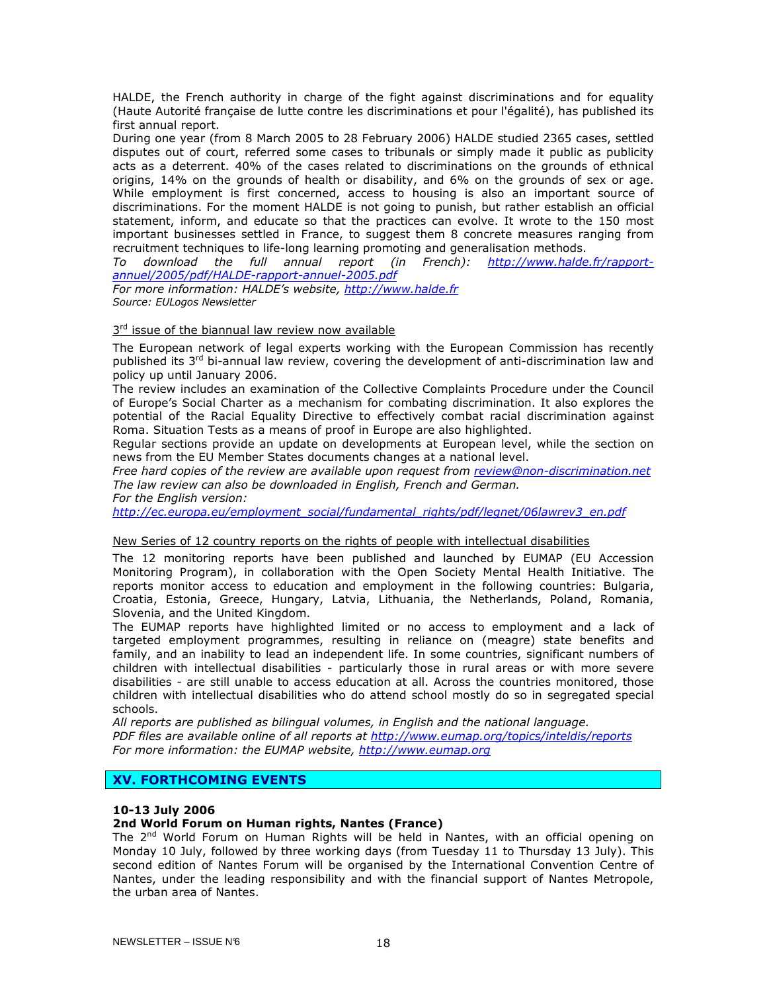HALDE, the French authority in charge of the fight against discriminations and for equality (Haute Autorité française de lutte contre les discriminations et pour l'égalité), has published its first annual report.

During one year (from 8 March 2005 to 28 February 2006) HALDE studied 2365 cases, settled disputes out of court, referred some cases to tribunals or simply made it public as publicity acts as a deterrent. 40% of the cases related to discriminations on the grounds of ethnical origins, 14% on the grounds of health or disability, and 6% on the grounds of sex or age. While employment is first concerned, access to housing is also an important source of discriminations. For the moment HALDE is not going to punish, but rather establish an official statement, inform, and educate so that the practices can evolve. It wrote to the 150 most important businesses settled in France, to suggest them 8 concrete measures ranging from recruitment techniques to life-long learning promoting and generalisation methods.

To download the full annual report (in French): http://www.halde.fr/rapportannuel/2005/pdf/HALDE-rapport-annuel-2005.pdf

For more information: HALDE's website, http://www.halde.fr Source: EULogos Newsletter

## 3<sup>rd</sup> issue of the biannual law review now available

The European network of legal experts working with the European Commission has recently published its 3<sup>rd</sup> bi-annual law review, covering the development of anti-discrimination law and policy up until January 2006.

The review includes an examination of the Collective Complaints Procedure under the Council of Europe's Social Charter as a mechanism for combating discrimination. It also explores the potential of the Racial Equality Directive to effectively combat racial discrimination against Roma. Situation Tests as a means of proof in Europe are also highlighted.

Regular sections provide an update on developments at European level, while the section on news from the EU Member States documents changes at a national level.

Free hard copies of the review are available upon request from review@non-discrimination.net The law review can also be downloaded in English, French and German.

For the English version:

http://ec.europa.eu/employment\_social/fundamental\_rights/pdf/legnet/06lawrev3\_en.pdf

## New Series of 12 country reports on the rights of people with intellectual disabilities

The 12 monitoring reports have been published and launched by EUMAP (EU Accession Monitoring Program), in collaboration with the Open Society Mental Health Initiative. The reports monitor access to education and employment in the following countries: Bulgaria, Croatia, Estonia, Greece, Hungary, Latvia, Lithuania, the Netherlands, Poland, Romania, Slovenia, and the United Kingdom.

The EUMAP reports have highlighted limited or no access to employment and a lack of targeted employment programmes, resulting in reliance on (meagre) state benefits and family, and an inability to lead an independent life. In some countries, significant numbers of children with intellectual disabilities - particularly those in rural areas or with more severe disabilities - are still unable to access education at all. Across the countries monitored, those children with intellectual disabilities who do attend school mostly do so in segregated special schools.

All reports are published as bilingual volumes, in English and the national language. PDF files are available online of all reports at http://www.eumap.org/topics/inteldis/reports For more information: the EUMAP website, http://www.eumap.org

## XV. FORTHCOMING EVENTS

## 10-13 July 2006

#### 2nd World Forum on Human rights, Nantes (France)

The 2<sup>nd</sup> World Forum on Human Rights will be held in Nantes, with an official opening on Monday 10 July, followed by three working days (from Tuesday 11 to Thursday 13 July). This second edition of Nantes Forum will be organised by the International Convention Centre of Nantes, under the leading responsibility and with the financial support of Nantes Metropole, the urban area of Nantes.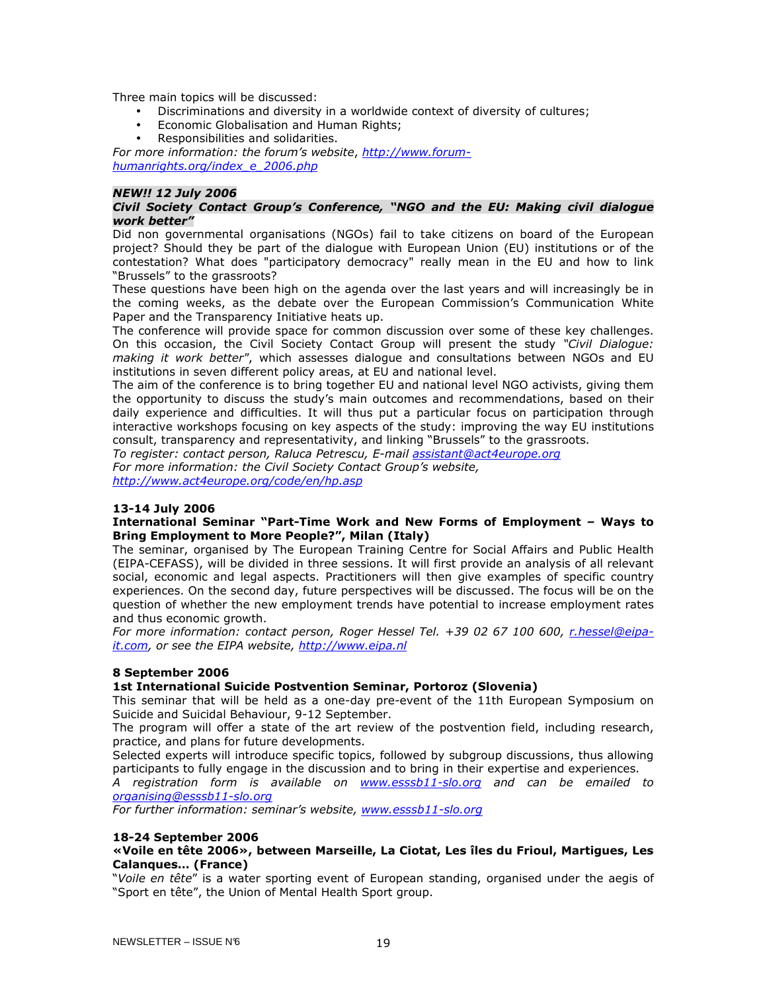Three main topics will be discussed:

- Discriminations and diversity in a worldwide context of diversity of cultures;
- Economic Globalisation and Human Rights;
- Responsibilities and solidarities.

For more information: the forum's website, http://www.forumhumanrights.org/index\_e\_2006.php

## NEW!! 12 July 2006

## Civil Society Contact Group's Conference, "NGO and the EU: Making civil dialogue work better"

Did non governmental organisations (NGOs) fail to take citizens on board of the European project? Should they be part of the dialogue with European Union (EU) institutions or of the contestation? What does "participatory democracy" really mean in the EU and how to link "Brussels" to the grassroots?

These questions have been high on the agenda over the last years and will increasingly be in the coming weeks, as the debate over the European Commission's Communication White Paper and the Transparency Initiative heats up.

The conference will provide space for common discussion over some of these key challenges. On this occasion, the Civil Society Contact Group will present the study "Civil Dialogue: making it work better", which assesses dialogue and consultations between NGOs and EU institutions in seven different policy areas, at EU and national level.

The aim of the conference is to bring together EU and national level NGO activists, giving them the opportunity to discuss the study's main outcomes and recommendations, based on their daily experience and difficulties. It will thus put a particular focus on participation through interactive workshops focusing on key aspects of the study: improving the way EU institutions consult, transparency and representativity, and linking "Brussels" to the grassroots.

To register: contact person, Raluca Petrescu, E-mail assistant@act4europe.org For more information: the Civil Society Contact Group's website,

http://www.act4europe.org/code/en/hp.asp

## 13-14 July 2006

## International Seminar "Part-Time Work and New Forms of Employment – Ways to Bring Employment to More People?", Milan (Italy)

The seminar, organised by The European Training Centre for Social Affairs and Public Health (EIPA-CEFASS), will be divided in three sessions. It will first provide an analysis of all relevant social, economic and legal aspects. Practitioners will then give examples of specific country experiences. On the second day, future perspectives will be discussed. The focus will be on the question of whether the new employment trends have potential to increase employment rates and thus economic growth.

For more information: contact person, Roger Hessel Tel. +39 02 67 100 600, r.hessel@eipait.com, or see the EIPA website, http://www.eipa.nl

## 8 September 2006

## 1st International Suicide Postvention Seminar, Portoroz (Slovenia)

This seminar that will be held as a one-day pre-event of the 11th European Symposium on Suicide and Suicidal Behaviour, 9-12 September.

The program will offer a state of the art review of the postvention field, including research, practice, and plans for future developments.

Selected experts will introduce specific topics, followed by subgroup discussions, thus allowing participants to fully engage in the discussion and to bring in their expertise and experiences.

A registration form is available on www.esssb11-slo.org and can be emailed to organising@esssb11-slo.org

For further information: seminar's website, www.esssb11-slo.org

#### 18-24 September 2006

## «Voile en tête 2006», between Marseille, La Ciotat, Les îles du Frioul, Martigues, Les Calanques… (France)

"Voile en tête" is a water sporting event of European standing, organised under the aegis of "Sport en tête", the Union of Mental Health Sport group.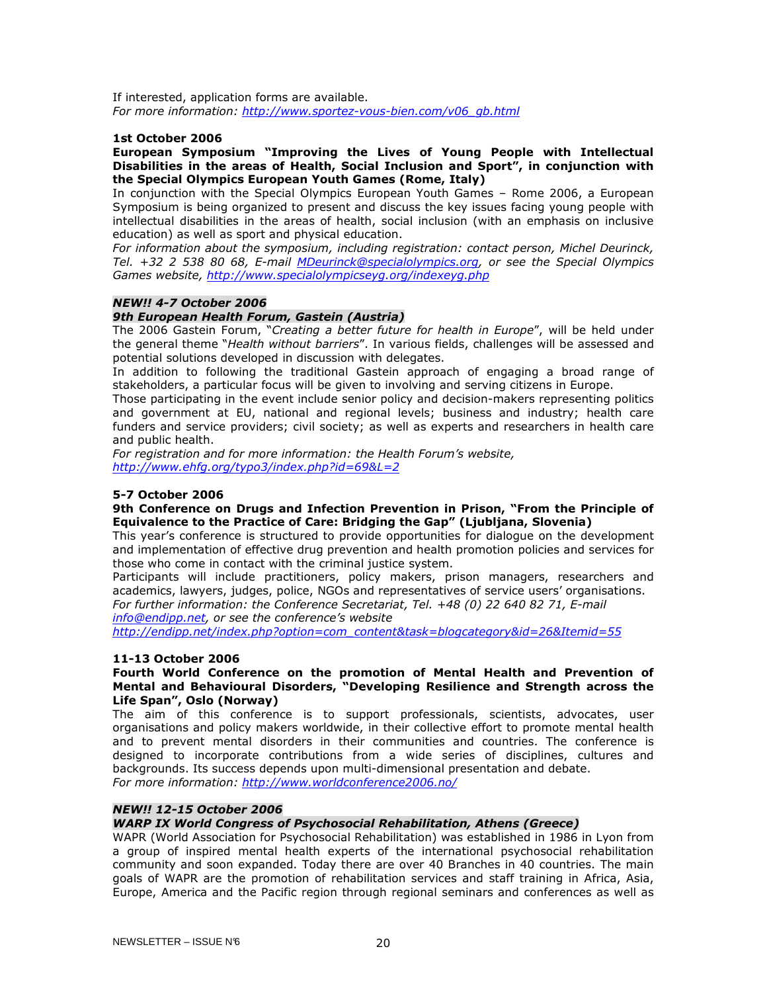If interested, application forms are available. For more information: http://www.sportez-vous-bien.com/v06\_gb.html

#### 1st October 2006

#### European Symposium "Improving the Lives of Young People with Intellectual Disabilities in the areas of Health, Social Inclusion and Sport", in conjunction with the Special Olympics European Youth Games (Rome, Italy)

In conjunction with the Special Olympics European Youth Games – Rome 2006, a European Symposium is being organized to present and discuss the key issues facing young people with intellectual disabilities in the areas of health, social inclusion (with an emphasis on inclusive education) as well as sport and physical education.

For information about the symposium, including registration: contact person, Michel Deurinck, Tel. +32 2 538 80 68, E-mail MDeurinck@specialolympics.org, or see the Special Olympics Games website, http://www.specialolympicseyg.org/indexeyg.php

## NEW!! 4-7 October 2006

## 9th European Health Forum, Gastein (Austria)

The 2006 Gastein Forum, "Creating a better future for health in Europe", will be held under the general theme "Health without barriers". In various fields, challenges will be assessed and potential solutions developed in discussion with delegates.

In addition to following the traditional Gastein approach of engaging a broad range of stakeholders, a particular focus will be given to involving and serving citizens in Europe.

Those participating in the event include senior policy and decision-makers representing politics and government at EU, national and regional levels; business and industry; health care funders and service providers; civil society; as well as experts and researchers in health care and public health.

For registration and for more information: the Health Forum's website, http://www.ehfg.org/typo3/index.php?id=69&L=2

## 5-7 October 2006

## 9th Conference on Drugs and Infection Prevention in Prison, "From the Principle of Equivalence to the Practice of Care: Bridging the Gap" (Ljubljana, Slovenia)

This year's conference is structured to provide opportunities for dialogue on the development and implementation of effective drug prevention and health promotion policies and services for those who come in contact with the criminal justice system.

Participants will include practitioners, policy makers, prison managers, researchers and academics, lawyers, judges, police, NGOs and representatives of service users' organisations. For further information: the Conference Secretariat, Tel. +48 (0) 22 640 82 71, E-mail info@endipp.net, or see the conference's website

http://endipp.net/index.php?option=com\_content&task=blogcategory&id=26&Itemid=55

#### 11-13 October 2006

#### Fourth World Conference on the promotion of Mental Health and Prevention of Mental and Behavioural Disorders, "Developing Resilience and Strength across the Life Span", Oslo (Norway)

The aim of this conference is to support professionals, scientists, advocates, user organisations and policy makers worldwide, in their collective effort to promote mental health and to prevent mental disorders in their communities and countries. The conference is designed to incorporate contributions from a wide series of disciplines, cultures and backgrounds. Its success depends upon multi-dimensional presentation and debate. For more information: http://www.worldconference2006.no/

## NEW!! 12-15 October 2006

## WARP IX World Congress of Psychosocial Rehabilitation, Athens (Greece)

WAPR (World Association for Psychosocial Rehabilitation) was established in 1986 in Lyon from a group of inspired mental health experts of the international psychosocial rehabilitation community and soon expanded. Today there are over 40 Branches in 40 countries. The main goals of WAPR are the promotion of rehabilitation services and staff training in Africa, Asia, Europe, America and the Pacific region through regional seminars and conferences as well as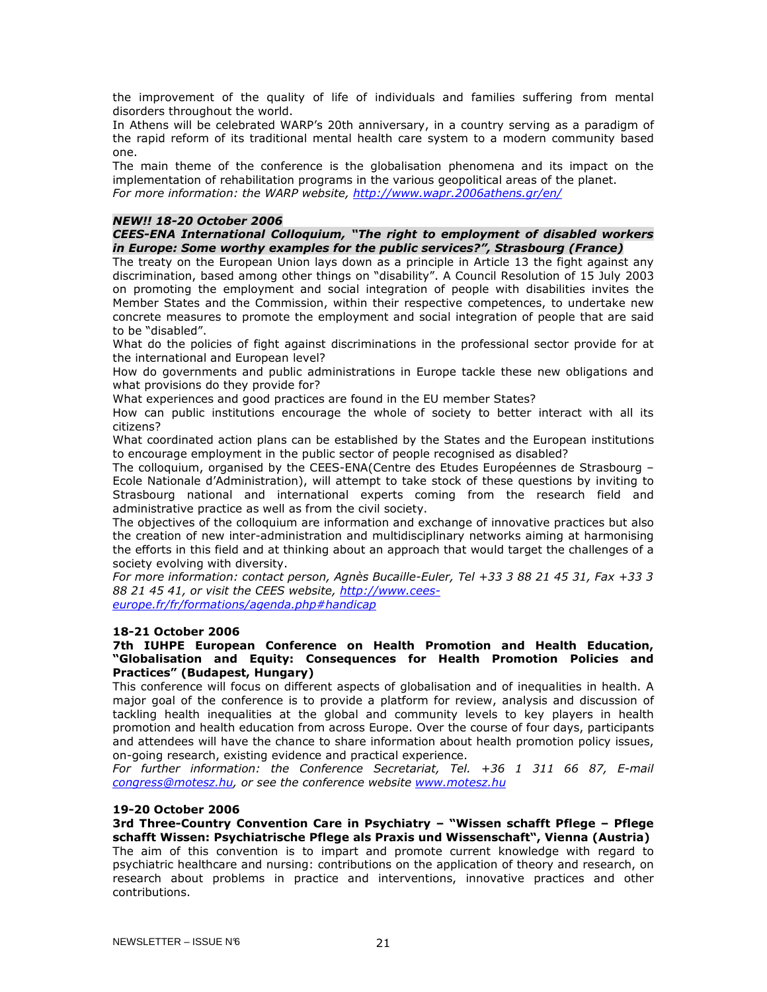the improvement of the quality of life of individuals and families suffering from mental disorders throughout the world.

In Athens will be celebrated WARP's 20th anniversary, in a country serving as a paradigm of the rapid reform of its traditional mental health care system to a modern community based one.

The main theme of the conference is the globalisation phenomena and its impact on the implementation of rehabilitation programs in the various geopolitical areas of the planet. For more information: the WARP website, http://www.wapr.2006athens.gr/en/

## NEW!! 18-20 October 2006

## CEES-ENA International Colloquium, "The right to employment of disabled workers in Europe: Some worthy examples for the public services?", Strasbourg (France)

The treaty on the European Union lays down as a principle in Article 13 the fight against any discrimination, based among other things on "disability". A Council Resolution of 15 July 2003 on promoting the employment and social integration of people with disabilities invites the Member States and the Commission, within their respective competences, to undertake new concrete measures to promote the employment and social integration of people that are said to be "disabled".

What do the policies of fight against discriminations in the professional sector provide for at the international and European level?

How do governments and public administrations in Europe tackle these new obligations and what provisions do they provide for?

What experiences and good practices are found in the EU member States?

How can public institutions encourage the whole of society to better interact with all its citizens?

What coordinated action plans can be established by the States and the European institutions to encourage employment in the public sector of people recognised as disabled?

The colloquium, organised by the CEES-ENA(Centre des Etudes Européennes de Strasbourg – Ecole Nationale d'Administration), will attempt to take stock of these questions by inviting to Strasbourg national and international experts coming from the research field and administrative practice as well as from the civil society.

The objectives of the colloquium are information and exchange of innovative practices but also the creation of new inter-administration and multidisciplinary networks aiming at harmonising the efforts in this field and at thinking about an approach that would target the challenges of a society evolving with diversity.

For more information: contact person, Agnès Bucaille-Euler, Tel +33 3 88 21 45 31, Fax +33 3 88 21 45 41, or visit the CEES website, http://www.ceeseurope.fr/fr/formations/agenda.php#handicap

#### 18-21 October 2006

### 7th IUHPE European Conference on Health Promotion and Health Education, "Globalisation and Equity: Consequences for Health Promotion Policies and Practices" (Budapest, Hungary)

This conference will focus on different aspects of globalisation and of inequalities in health. A major goal of the conference is to provide a platform for review, analysis and discussion of tackling health inequalities at the global and community levels to key players in health promotion and health education from across Europe. Over the course of four days, participants and attendees will have the chance to share information about health promotion policy issues, on-going research, existing evidence and practical experience.

For further information: the Conference Secretariat, Tel. +36 1 311 66 87, E-mail congress@motesz.hu, or see the conference website www.motesz.hu

#### 19-20 October 2006

3rd Three-Country Convention Care in Psychiatry – "Wissen schafft Pflege – Pflege schafft Wissen: Psychiatrische Pflege als Praxis und Wissenschaft", Vienna (Austria) The aim of this convention is to impart and promote current knowledge with regard to psychiatric healthcare and nursing: contributions on the application of theory and research, on research about problems in practice and interventions, innovative practices and other contributions.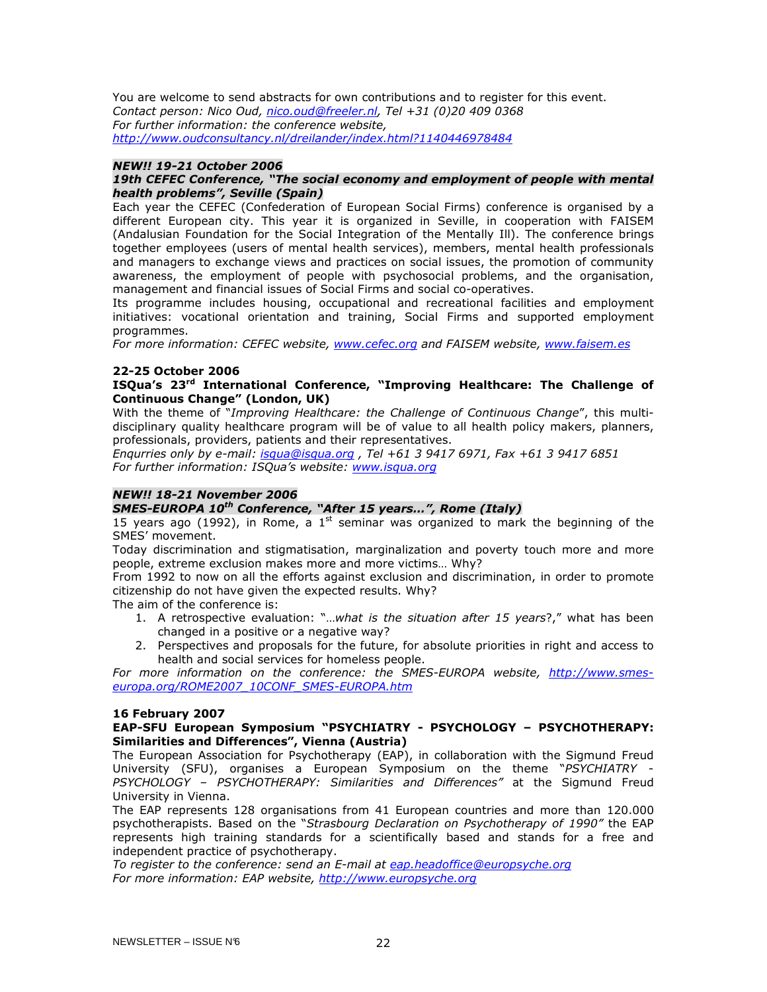You are welcome to send abstracts for own contributions and to register for this event. Contact person: Nico Oud, nico.oud@freeler.nl, Tel +31 (0)20 409 0368 For further information: the conference website, http://www.oudconsultancy.nl/dreilander/index.html?1140446978484

## NEW!! 19-21 October 2006

## 19th CEFEC Conference, "The social economy and employment of people with mental health problems", Seville (Spain)

Each year the CEFEC (Confederation of European Social Firms) conference is organised by a different European city. This year it is organized in Seville, in cooperation with FAISEM (Andalusian Foundation for the Social Integration of the Mentally Ill). The conference brings together employees (users of mental health services), members, mental health professionals and managers to exchange views and practices on social issues, the promotion of community awareness, the employment of people with psychosocial problems, and the organisation, management and financial issues of Social Firms and social co-operatives.

Its programme includes housing, occupational and recreational facilities and employment initiatives: vocational orientation and training, Social Firms and supported employment programmes.

For more information: CEFEC website, www.cefec.org and FAISEM website, www.faisem.es

## 22-25 October 2006

## ISQua's 23<sup>rd</sup> International Conference, "Improving Healthcare: The Challenge of Continuous Change" (London, UK)

With the theme of "Improving Healthcare: the Challenge of Continuous Change", this multidisciplinary quality healthcare program will be of value to all health policy makers, planners, professionals, providers, patients and their representatives.

Enqurries only by e-mail: *isqua@isqua.org*, Tel +61 3 9417 6971, Fax +61 3 9417 6851 For further information: ISQua's website: www.isqua.org

## NEW!! 18-21 November 2006

## SMES-EUROPA 10<sup>th</sup> Conference, "After 15 years...", Rome (Italy)

15 years ago (1992), in Rome, a 1<sup>st</sup> seminar was organized to mark the beginning of the SMES' movement.

Today discrimination and stigmatisation, marginalization and poverty touch more and more people, extreme exclusion makes more and more victims… Why?

From 1992 to now on all the efforts against exclusion and discrimination, in order to promote citizenship do not have given the expected results. Why?

The aim of the conference is:

- 1. A retrospective evaluation: "...what is the situation after 15 years?," what has been changed in a positive or a negative way?
- 2. Perspectives and proposals for the future, for absolute priorities in right and access to health and social services for homeless people.

For more information on the conference: the SMES-EUROPA website, http://www.smeseuropa.org/ROME2007\_10CONF\_SMES-EUROPA.htm

## 16 February 2007

## EAP-SFU European Symposium "PSYCHIATRY - PSYCHOLOGY – PSYCHOTHERAPY: Similarities and Differences", Vienna (Austria)

The European Association for Psychotherapy (EAP), in collaboration with the Sigmund Freud University (SFU), organises a European Symposium on the theme "PSYCHIATRY - PSYCHOLOGY - PSYCHOTHERAPY: Similarities and Differences" at the Sigmund Freud University in Vienna.

The EAP represents 128 organisations from 41 European countries and more than 120.000 psychotherapists. Based on the "Strasbourg Declaration on Psychotherapy of 1990" the EAP represents high training standards for a scientifically based and stands for a free and independent practice of psychotherapy.

To register to the conference: send an E-mail at eap.headoffice@europsyche.org For more information: EAP website, http://www.europsyche.org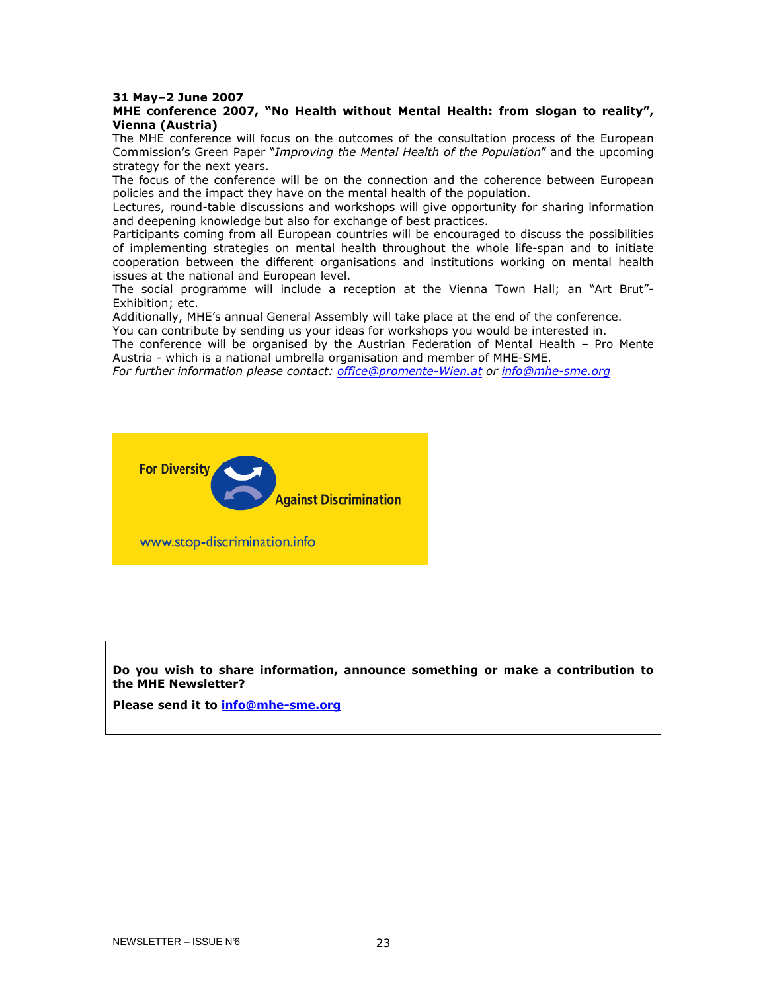#### 31 May–2 June 2007

## MHE conference 2007, "No Health without Mental Health: from slogan to reality", Vienna (Austria)

The MHE conference will focus on the outcomes of the consultation process of the European Commission's Green Paper "Improving the Mental Health of the Population" and the upcoming strategy for the next years.

The focus of the conference will be on the connection and the coherence between European policies and the impact they have on the mental health of the population.

Lectures, round-table discussions and workshops will give opportunity for sharing information and deepening knowledge but also for exchange of best practices.

Participants coming from all European countries will be encouraged to discuss the possibilities of implementing strategies on mental health throughout the whole life-span and to initiate cooperation between the different organisations and institutions working on mental health issues at the national and European level.

The social programme will include a reception at the Vienna Town Hall; an "Art Brut"- Exhibition; etc.

Additionally, MHE's annual General Assembly will take place at the end of the conference.

You can contribute by sending us your ideas for workshops you would be interested in.

The conference will be organised by the Austrian Federation of Mental Health – Pro Mente Austria - which is a national umbrella organisation and member of MHE-SME.

For further information please contact: office@promente-Wien.at or info@mhe-sme.org



www.stop-discrimination.info

Do you wish to share information, announce something or make a contribution to the MHE Newsletter?

Please send it to **info@mhe-sme.org**